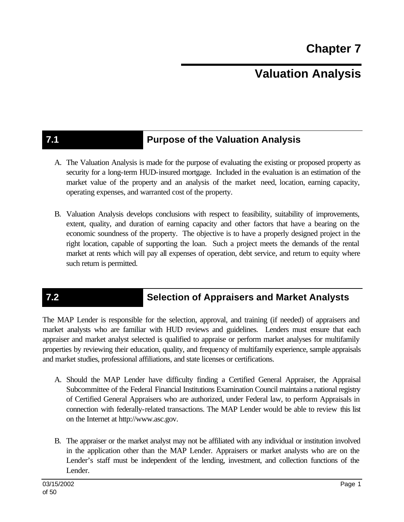# **Valuation Analysis**

## **7.1 Purpose of the Valuation Analysis**

- A. The Valuation Analysis is made for the purpose of evaluating the existing or proposed property as security for a long-term HUD-insured mortgage. Included in the evaluation is an estimation of the market value of the property and an analysis of the market need, location, earning capacity, operating expenses, and warranted cost of the property.
- B. Valuation Analysis develops conclusions with respect to feasibility, suitability of improvements, extent, quality, and duration of earning capacity and other factors that have a bearing on the economic soundness of the property. The objective is to have a properly designed project in the right location, capable of supporting the loan. Such a project meets the demands of the rental market at rents which will pay all expenses of operation, debt service, and return to equity where such return is permitted.

# **7.2 Selection of Appraisers and Market Analysts**

The MAP Lender is responsible for the selection, approval, and training (if needed) of appraisers and market analysts who are familiar with HUD reviews and guidelines. Lenders must ensure that each appraiser and market analyst selected is qualified to appraise or perform market analyses for multifamily properties by reviewing their education, quality, and frequency of multifamily experience, sample appraisals and market studies, professional affiliations, and state licenses or certifications.

- A. Should the MAP Lender have difficulty finding a Certified General Appraiser, the Appraisal Subcommittee of the Federal Financial Institutions Examination Council maintains a national registry of Certified General Appraisers who are authorized, under Federal law, to perform Appraisals in connection with federally-related transactions. The MAP Lender would be able to review this list on the Internet at http://www.asc.gov.
- B. The appraiser or the market analyst may not be affiliated with any individual or institution involved in the application other than the MAP Lender. Appraisers or market analysts who are on the Lender's staff must be independent of the lending, investment, and collection functions of the Lender.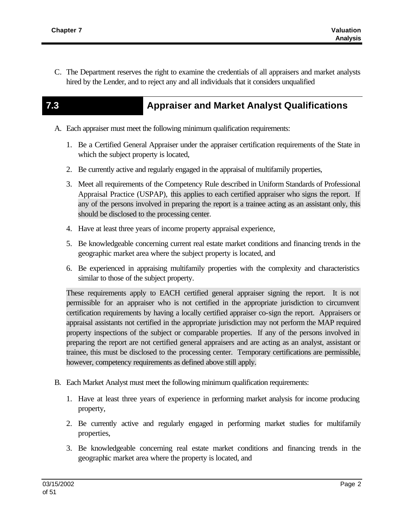C. The Department reserves the right to examine the credentials of all appraisers and market analysts hired by the Lender, and to reject any and all individuals that it considers unqualified

## **7.3 Appraiser and Market Analyst Qualifications**

- A. Each appraiser must meet the following minimum qualification requirements:
	- 1. Be a Certified General Appraiser under the appraiser certification requirements of the State in which the subject property is located,
	- 2. Be currently active and regularly engaged in the appraisal of multifamily properties,
	- 3. Meet all requirements of the Competency Rule described in Uniform Standards of Professional Appraisal Practice (USPAP), this applies to each certified appraiser who signs the report. If any of the persons involved in preparing the report is a trainee acting as an assistant only, this should be disclosed to the processing center.
	- 4. Have at least three years of income property appraisal experience,
	- 5. Be knowledgeable concerning current real estate market conditions and financing trends in the geographic market area where the subject property is located, and
	- 6. Be experienced in appraising multifamily properties with the complexity and characteristics similar to those of the subject property.

These requirements apply to EACH certified general appraiser signing the report. It is not permissible for an appraiser who is not certified in the appropriate jurisdiction to circumvent certification requirements by having a locally certified appraiser co-sign the report. Appraisers or appraisal assistants not certified in the appropriate jurisdiction may not perform the MAP required property inspections of the subject or comparable properties. If any of the persons involved in preparing the report are not certified general appraisers and are acting as an analyst, assistant or trainee, this must be disclosed to the processing center. Temporary certifications are permissible, however, competency requirements as defined above still apply.

- B. Each Market Analyst must meet the following minimum qualification requirements:
	- 1. Have at least three years of experience in performing market analysis for income producing property,
	- 2. Be currently active and regularly engaged in performing market studies for multifamily properties,
	- 3. Be knowledgeable concerning real estate market conditions and financing trends in the geographic market area where the property is located, and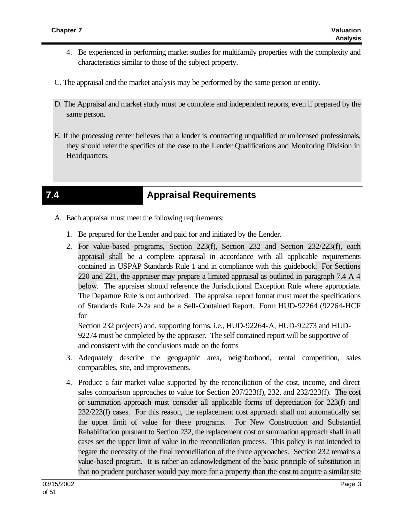- 4. Be experienced in performing market studies for multifamily properties with the complexity and characteristics similar to those of the subject property.
- C. The appraisal and the market analysis may be performed by the same person or entity.
- D. The Appraisal and market study must be complete and independent reports, even if prepared by the same person.
- E. If the processing center believes that a lender is contracting unqualified or unlicensed professionals, they should refer the specifics of the case to the Lender Qualifications and Monitoring Division in Headquarters.

# **7.4 Appraisal Requirements**

- A. Each appraisal must meet the following requirements:
	- 1. Be prepared for the Lender and paid for and initiated by the Lender.
	- 2. For value-based programs, Section 223(f), Section 232 and Section 232/223(f), each appraisal shall be a complete appraisal in accordance with all applicable requirements contained in USPAP Standards Rule 1 and in compliance with this guidebook. For Sections 220 and 221, the appraiser may prepare a limited appraisal as outlined in paragraph 7.4 A 4 below. The appraiser should reference the Jurisdictional Exception Rule where appropriate. The Departure Rule is not authorized. The appraisal report format must meet the specifications of Standards Rule 2-2a and be a Self-Contained Report. Form HUD-92264 (92264-HCF for

Section 232 projects) and. supporting forms, i.e., HUD-92264-A, HUD-92273 and HUD-92274 must be completed by the appraiser. The self contained report will be supportive of and consistent with the conclusions made on the forms

- 3. Adequately describe the geographic area, neighborhood, rental competition, sales comparables, site, and improvements.
- 4. Produce a fair market value supported by the reconciliation of the cost, income, and direct sales comparison approaches to value for Section 207/223(f), 232, and 232/223(f). The cost or summation approach must consider all applicable forms of depreciation for 223(f) and 232/223(f) cases. For this reason, the replacement cost approach shall not automatically set the upper limit of value for these programs. For New Construction and Substantial Rehabilitation pursuant to Section 232, the replacement cost or summation approach shall in all cases set the upper limit of value in the reconciliation process. This policy is not intended to negate the necessity of the final reconciliation of the three approaches. Section 232 remains a value-based program. It is rather an acknowledgment of the basic principle of substitution in that no prudent purchaser would pay more for a property than the cost to acquire a similar site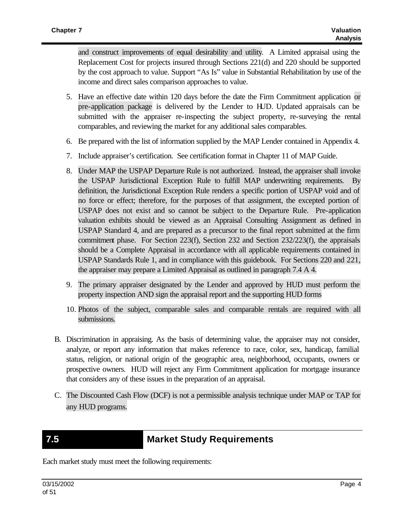and construct improvements of equal desirability and utility. A Limited appraisal using the Replacement Cost for projects insured through Sections 221(d) and 220 should be supported by the cost approach to value. Support "As Is" value in Substantial Rehabilitation by use of the income and direct sales comparison approaches to value.

- 5. Have an effective date within 120 days before the date the Firm Commitment application or pre-application package is delivered by the Lender to HUD. Updated appraisals can be submitted with the appraiser re-inspecting the subject property, re-surveying the rental comparables, and reviewing the market for any additional sales comparables.
- 6. Be prepared with the list of information supplied by the MAP Lender contained in Appendix 4.
- 7. Include appraiser's certification. See certification format in Chapter 11 of MAP Guide.
- 8. Under MAP the USPAP Departure Rule is not authorized. Instead, the appraiser shall invoke the USPAP Jurisdictional Exception Rule to fulfill MAP underwriting requirements. By definition, the Jurisdictional Exception Rule renders a specific portion of USPAP void and of no force or effect; therefore, for the purposes of that assignment, the excepted portion of USPAP does not exist and so cannot be subject to the Departure Rule. Pre-application valuation exhibits should be viewed as an Appraisal Consulting Assignment as defined in USPAP Standard 4, and are prepared as a precursor to the final report submitted at the firm commitment phase. For Section 223(f), Section 232 and Section 232/223(f), the appraisals should be a Complete Appraisal in accordance with all applicable requirements contained in USPAP Standards Rule 1, and in compliance with this guidebook. For Sections 220 and 221, the appraiser may prepare a Limited Appraisal as outlined in paragraph 7.4 A 4.
- 9. The primary appraiser designated by the Lender and approved by HUD must perform the property inspection AND sign the appraisal report and the supporting HUD forms
- 10. Photos of the subject, comparable sales and comparable rentals are required with all submissions.
- B. Discrimination in appraising. As the basis of determining value, the appraiser may not consider, analyze, or report any information that makes reference to race, color, sex, handicap, familial status, religion, or national origin of the geographic area, neighborhood, occupants, owners or prospective owners. HUD will reject any Firm Commitment application for mortgage insurance that considers any of these issues in the preparation of an appraisal.
- C. The Discounted Cash Flow (DCF) is not a permissible analysis technique under MAP or TAP for any HUD programs.

### **7.5 Market Study Requirements**

Each market study must meet the following requirements: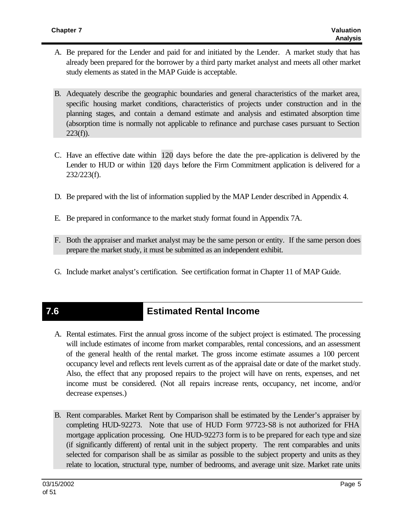- A. Be prepared for the Lender and paid for and initiated by the Lender. A market study that has already been prepared for the borrower by a third party market analyst and meets all other market study elements as stated in the MAP Guide is acceptable.
- B. Adequately describe the geographic boundaries and general characteristics of the market area, specific housing market conditions, characteristics of projects under construction and in the planning stages, and contain a demand estimate and analysis and estimated absorption time (absorption time is normally not applicable to refinance and purchase cases pursuant to Section  $223(f)$ ).
- C. Have an effective date within 120 days before the date the pre-application is delivered by the Lender to HUD or within 120 days before the Firm Commitment application is delivered for a 232/223(f).
- D. Be prepared with the list of information supplied by the MAP Lender described in Appendix 4.
- E. Be prepared in conformance to the market study format found in Appendix 7A.
- F. Both the appraiser and market analyst may be the same person or entity. If the same person does prepare the market study, it must be submitted as an independent exhibit.
- G. Include market analyst's certification. See certification format in Chapter 11 of MAP Guide.

## **7.6 Estimated Rental Income**

- A. Rental estimates. First the annual gross income of the subject project is estimated. The processing will include estimates of income from market comparables, rental concessions, and an assessment of the general health of the rental market. The gross income estimate assumes a 100 percent occupancy level and reflects rent levels current as of the appraisal date or date of the market study. Also, the effect that any proposed repairs to the project will have on rents, expenses, and net income must be considered. (Not all repairs increase rents, occupancy, net income, and/or decrease expenses.)
- B. Rent comparables. Market Rent by Comparison shall be estimated by the Lender's appraiser by completing HUD-92273. Note that use of HUD Form 97723-S8 is not authorized for FHA mortgage application processing. One HUD-92273 form is to be prepared for each type and size (if significantly different) of rental unit in the subject property. The rent comparables and units selected for comparison shall be as similar as possible to the subject property and units as they relate to location, structural type, number of bedrooms, and average unit size. Market rate units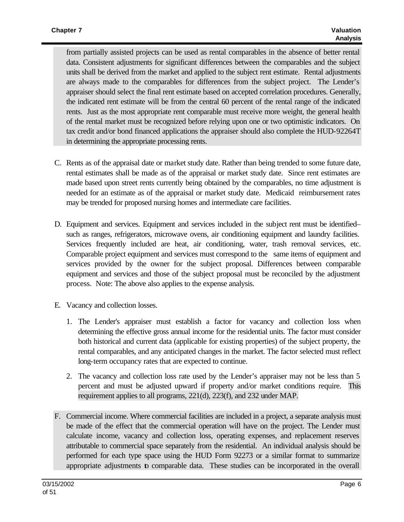from partially assisted projects can be used as rental comparables in the absence of better rental data. Consistent adjustments for significant differences between the comparables and the subject units shall be derived from the market and applied to the subject rent estimate. Rental adjustments are always made to the comparables for differences from the subject project. The Lender's appraiser should select the final rent estimate based on accepted correlation procedures. Generally, the indicated rent estimate will be from the central 60 percent of the rental range of the indicated rents. Just as the most appropriate rent comparable must receive more weight, the general health of the rental market must be recognized before relying upon one or two optimistic indicators. On tax credit and/or bond financed applications the appraiser should also complete the HUD-92264T in determining the appropriate processing rents.

- C. Rents as of the appraisal date or market study date. Rather than being trended to some future date, rental estimates shall be made as of the appraisal or market study date. Since rent estimates are made based upon street rents currently being obtained by the comparables, no time adjustment is needed for an estimate as of the appraisal or market study date. Medicaid reimbursement rates may be trended for proposed nursing homes and intermediate care facilities.
- D. Equipment and services. Equipment and services included in the subject rent must be identified– such as ranges, refrigerators, microwave ovens, air conditioning equipment and laundry facilities. Services frequently included are heat, air conditioning, water, trash removal services, etc. Comparable project equipment and services must correspond to the same items of equipment and services provided by the owner for the subject proposal. Differences between comparable equipment and services and those of the subject proposal must be reconciled by the adjustment process. Note: The above also applies to the expense analysis.
- E. Vacancy and collection losses.
	- 1. The Lender's appraiser must establish a factor for vacancy and collection loss when determining the effective gross annual income for the residential units. The factor must consider both historical and current data (applicable for existing properties) of the subject property, the rental comparables, and any anticipated changes in the market. The factor selected must reflect long-term occupancy rates that are expected to continue.
	- 2. The vacancy and collection loss rate used by the Lender's appraiser may not be less than 5 percent and must be adjusted upward if property and/or market conditions require. This requirement applies to all programs, 221(d), 223(f), and 232 under MAP.
- F. Commercial income. Where commercial facilities are included in a project, a separate analysis must be made of the effect that the commercial operation will have on the project. The Lender must calculate income, vacancy and collection loss, operating expenses, and replacement reserves attributable to commercial space separately from the residential. An individual analysis should be performed for each type space using the HUD Form 92273 or a similar format to summarize appropriate adjustments to comparable data. These studies can be incorporated in the overall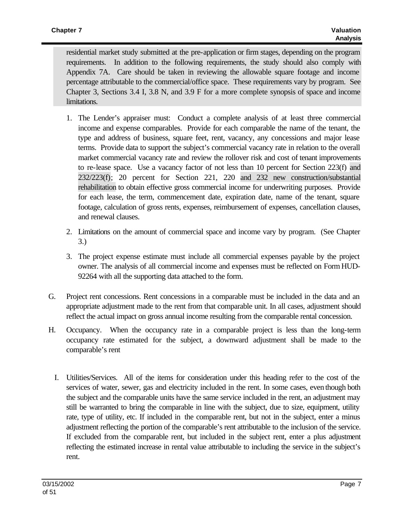residential market study submitted at the pre-application or firm stages, depending on the program requirements. In addition to the following requirements, the study should also comply with Appendix 7A. Care should be taken in reviewing the allowable square footage and income percentage attributable to the commercial/office space. These requirements vary by program. See Chapter 3, Sections 3.4 I, 3.8 N, and 3.9 F for a more complete synopsis of space and income limitations.

- 1. The Lender's appraiser must: Conduct a complete analysis of at least three commercial income and expense comparables. Provide for each comparable the name of the tenant, the type and address of business, square feet, rent, vacancy, any concessions and major lease terms. Provide data to support the subject's commercial vacancy rate in relation to the overall market commercial vacancy rate and review the rollover risk and cost of tenant improvements to re-lease space. Use a vacancy factor of not less than 10 percent for Section 223(f) and 232/223(f); 20 percent for Section 221, 220 and 232 new construction/substantial rehabilitation to obtain effective gross commercial income for underwriting purposes. Provide for each lease, the term, commencement date, expiration date, name of the tenant, square footage, calculation of gross rents, expenses, reimbursement of expenses, cancellation clauses, and renewal clauses.
- 2. Limitations on the amount of commercial space and income vary by program. (See Chapter 3.)
- 3. The project expense estimate must include all commercial expenses payable by the project owner. The analysis of all commercial income and expenses must be reflected on Form HUD-92264 with all the supporting data attached to the form.
- G. Project rent concessions. Rent concessions in a comparable must be included in the data and an appropriate adjustment made to the rent from that comparable unit. In all cases, adjustment should reflect the actual impact on gross annual income resulting from the comparable rental concession.
- H. Occupancy. When the occupancy rate in a comparable project is less than the long-term occupancy rate estimated for the subject, a downward adjustment shall be made to the comparable's rent
	- I. Utilities/Services. All of the items for consideration under this heading refer to the cost of the services of water, sewer, gas and electricity included in the rent. In some cases, even though both the subject and the comparable units have the same service included in the rent, an adjustment may still be warranted to bring the comparable in line with the subject, due to size, equipment, utility rate, type of utility, etc. If included in the comparable rent, but not in the subject, enter a minus adjustment reflecting the portion of the comparable's rent attributable to the inclusion of the service. If excluded from the comparable rent, but included in the subject rent, enter a plus adjustment reflecting the estimated increase in rental value attributable to including the service in the subject's rent.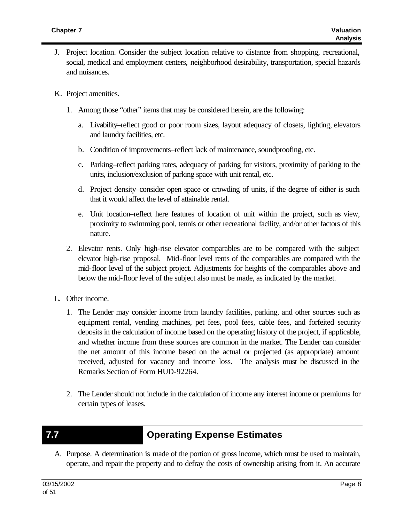- J. Project location. Consider the subject location relative to distance from shopping, recreational, social, medical and employment centers, neighborhood desirability, transportation, special hazards and nuisances.
- K. Project amenities.
	- 1. Among those "other" items that may be considered herein, are the following:
		- a. Livability–reflect good or poor room sizes, layout adequacy of closets, lighting, elevators and laundry facilities, etc.
		- b. Condition of improvements–reflect lack of maintenance, soundproofing, etc.
		- c. Parking–reflect parking rates, adequacy of parking for visitors, proximity of parking to the units, inclusion/exclusion of parking space with unit rental, etc.
		- d. Project density–consider open space or crowding of units, if the degree of either is such that it would affect the level of attainable rental.
		- e. Unit location–reflect here features of location of unit within the project, such as view, proximity to swimming pool, tennis or other recreational facility, and/or other factors of this nature.
	- 2. Elevator rents. Only high-rise elevator comparables are to be compared with the subject elevator high-rise proposal. Mid-floor level rents of the comparables are compared with the mid-floor level of the subject project. Adjustments for heights of the comparables above and below the mid-floor level of the subject also must be made, as indicated by the market.
- L. Other income.
	- 1. The Lender may consider income from laundry facilities, parking, and other sources such as equipment rental, vending machines, pet fees, pool fees, cable fees, and forfeited security deposits in the calculation of income based on the operating history of the project, if applicable, and whether income from these sources are common in the market. The Lender can consider the net amount of this income based on the actual or projected (as appropriate) amount received, adjusted for vacancy and income loss. The analysis must be discussed in the Remarks Section of Form HUD-92264.
	- 2. The Lender should not include in the calculation of income any interest income or premiums for certain types of leases.
- 

## **7.7 Operating Expense Estimates**

A. Purpose. A determination is made of the portion of gross income, which must be used to maintain, operate, and repair the property and to defray the costs of ownership arising from it. An accurate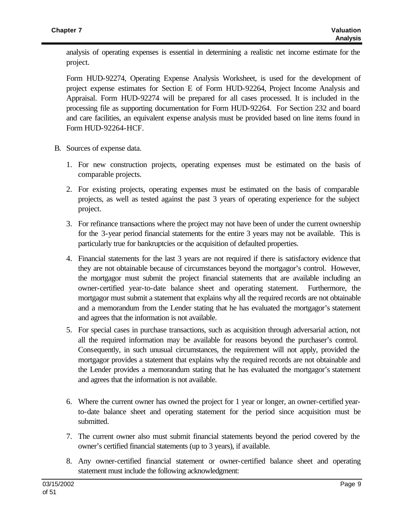analysis of operating expenses is essential in determining a realistic net income estimate for the project.

Form HUD-92274, Operating Expense Analysis Worksheet, is used for the development of project expense estimates for Section E of Form HUD-92264, Project Income Analysis and Appraisal. Form HUD-92274 will be prepared for all cases processed. It is included in the processing file as supporting documentation for Form HUD-92264. For Section 232 and board and care facilities, an equivalent expense analysis must be provided based on line items found in Form HUD-92264-HCF.

- B. Sources of expense data.
	- 1. For new construction projects, operating expenses must be estimated on the basis of comparable projects.
	- 2. For existing projects, operating expenses must be estimated on the basis of comparable projects, as well as tested against the past 3 years of operating experience for the subject project.
	- 3. For refinance transactions where the project may not have been of under the current ownership for the 3-year period financial statements for the entire 3 years may not be available. This is particularly true for bankruptcies or the acquisition of defaulted properties.
	- 4. Financial statements for the last 3 years are not required if there is satisfactory evidence that they are not obtainable because of circumstances beyond the mortgagor's control. However, the mortgagor must submit the project financial statements that are available including an owner-certified year-to-date balance sheet and operating statement. Furthermore, the mortgagor must submit a statement that explains why all the required records are not obtainable and a memorandum from the Lender stating that he has evaluated the mortgagor's statement and agrees that the information is not available.
	- 5. For special cases in purchase transactions, such as acquisition through adversarial action, not all the required information may be available for reasons beyond the purchaser's control. Consequently, in such unusual circumstances, the requirement will not apply, provided the mortgagor provides a statement that explains why the required records are not obtainable and the Lender provides a memorandum stating that he has evaluated the mortgagor's statement and agrees that the information is not available.
	- 6. Where the current owner has owned the project for 1 year or longer, an owner-certified yearto-date balance sheet and operating statement for the period since acquisition must be submitted.
	- 7. The current owner also must submit financial statements beyond the period covered by the owner's certified financial statements (up to 3 years), if available.
	- 8. Any owner-certified financial statement or owner-certified balance sheet and operating statement must include the following acknowledgment: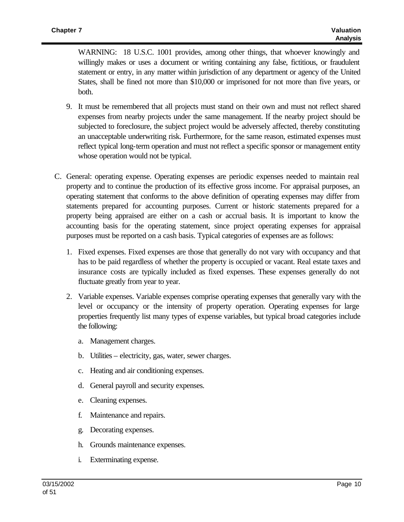WARNING: 18 U.S.C. 1001 provides, among other things, that whoever knowingly and willingly makes or uses a document or writing containing any false, fictitious, or fraudulent statement or entry, in any matter within jurisdiction of any department or agency of the United States, shall be fined not more than \$10,000 or imprisoned for not more than five years, or both.

- 9. It must be remembered that all projects must stand on their own and must not reflect shared expenses from nearby projects under the same management. If the nearby project should be subjected to foreclosure, the subject project would be adversely affected, thereby constituting an unacceptable underwriting risk. Furthermore, for the same reason, estimated expenses must reflect typical long-term operation and must not reflect a specific sponsor or management entity whose operation would not be typical.
- C. General: operating expense. Operating expenses are periodic expenses needed to maintain real property and to continue the production of its effective gross income. For appraisal purposes, an operating statement that conforms to the above definition of operating expenses may differ from statements prepared for accounting purposes. Current or historic statements prepared for a property being appraised are either on a cash or accrual basis. It is important to know the accounting basis for the operating statement, since project operating expenses for appraisal purposes must be reported on a cash basis. Typical categories of expenses are as follows:
	- 1. Fixed expenses. Fixed expenses are those that generally do not vary with occupancy and that has to be paid regardless of whether the property is occupied or vacant. Real estate taxes and insurance costs are typically included as fixed expenses. These expenses generally do not fluctuate greatly from year to year.
	- 2. Variable expenses. Variable expenses comprise operating expenses that generally vary with the level or occupancy or the intensity of property operation. Operating expenses for large properties frequently list many types of expense variables, but typical broad categories include the following:
		- a. Management charges.
		- b. Utilities electricity, gas, water, sewer charges.
		- c. Heating and air conditioning expenses.
		- d. General payroll and security expenses.
		- e. Cleaning expenses.
		- f. Maintenance and repairs.
		- g. Decorating expenses.
		- h. Grounds maintenance expenses.
		- i. Exterminating expense.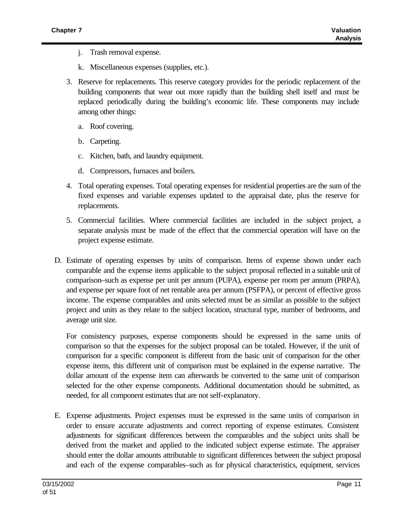- j. Trash removal expense.
- k. Miscellaneous expenses (supplies, etc.).
- 3. Reserve for replacements. This reserve category provides for the periodic replacement of the building components that wear out more rapidly than the building shell itself and must be replaced periodically during the building's economic life. These components may include among other things:
	- a. Roof covering.
	- b. Carpeting.
	- c. Kitchen, bath, and laundry equipment.
	- d. Compressors, furnaces and boilers.
- 4. Total operating expenses. Total operating expenses for residential properties are the sum of the fixed expenses and variable expenses updated to the appraisal date, plus the reserve for replacements.
- 5. Commercial facilities. Where commercial facilities are included in the subject project, a separate analysis must be made of the effect that the commercial operation will have on the project expense estimate.
- D. Estimate of operating expenses by units of comparison. Items of expense shown under each comparable and the expense items applicable to the subject proposal reflected in a suitable unit of comparison–such as expense per unit per annum (PUPA), expense per room per annum (PRPA), and expense per square foot of net rentable area per annum (PSFPA), or percent of effective gross income. The expense comparables and units selected must be as similar as possible to the subject project and units as they relate to the subject location, structural type, number of bedrooms, and average unit size.

For consistency purposes, expense components should be expressed in the same units of comparison so that the expenses for the subject proposal can be totaled. However, if the unit of comparison for a specific component is different from the basic unit of comparison for the other expense items, this different unit of comparison must be explained in the expense narrative. The dollar amount of the expense item can afterwards be converted to the same unit of comparison selected for the other expense components. Additional documentation should be submitted, as needed, for all component estimates that are not self-explanatory.

E. Expense adjustments. Project expenses must be expressed in the same units of comparison in order to ensure accurate adjustments and correct reporting of expense estimates. Consistent adjustments for significant differences between the comparables and the subject units shall be derived from the market and applied to the indicated subject expense estimate. The appraiser should enter the dollar amounts attributable to significant differences between the subject proposal and each of the expense comparables–such as for physical characteristics, equipment, services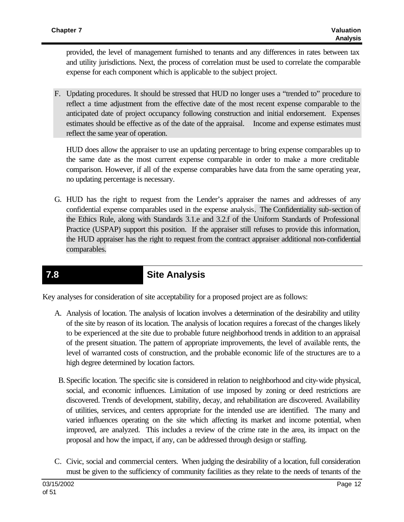provided, the level of management furnished to tenants and any differences in rates between tax and utility jurisdictions. Next, the process of correlation must be used to correlate the comparable expense for each component which is applicable to the subject project.

F. Updating procedures. It should be stressed that HUD no longer uses a "trended to" procedure to reflect a time adjustment from the effective date of the most recent expense comparable to the anticipated date of project occupancy following construction and initial endorsement. Expenses estimates should be effective as of the date of the appraisal. Income and expense estimates must reflect the same year of operation.

HUD does allow the appraiser to use an updating percentage to bring expense comparables up to the same date as the most current expense comparable in order to make a more creditable comparison. However, if all of the expense comparables have data from the same operating year, no updating percentage is necessary.

G. HUD has the right to request from the Lender's appraiser the names and addresses of any confidential expense comparables used in the expense analysis. The Confidentiality sub-section of the Ethics Rule, along with Standards 3.1.e and 3.2.f of the Uniform Standards of Professional Practice (USPAP) support this position. If the appraiser still refuses to provide this information, the HUD appraiser has the right to request from the contract appraiser additional non-confidential comparables.

## **7.8 Site Analysis**

Key analyses for consideration of site acceptability for a proposed project are as follows:

- A. Analysis of location. The analysis of location involves a determination of the desirability and utility of the site by reason of its location. The analysis of location requires a forecast of the changes likely to be experienced at the site due to probable future neighborhood trends in addition to an appraisal of the present situation. The pattern of appropriate improvements, the level of available rents, the level of warranted costs of construction, and the probable economic life of the structures are to a high degree determined by location factors.
- B.Specific location. The specific site is considered in relation to neighborhood and city-wide physical, social, and economic influences. Limitation of use imposed by zoning or deed restrictions are discovered. Trends of development, stability, decay, and rehabilitation are discovered. Availability of utilities, services, and centers appropriate for the intended use are identified. The many and varied influences operating on the site which affecting its market and income potential, when improved, are analyzed. This includes a review of the crime rate in the area, its impact on the proposal and how the impact, if any, can be addressed through design or staffing.
- C. Civic, social and commercial centers. When judging the desirability of a location, full consideration must be given to the sufficiency of community facilities as they relate to the needs of tenants of the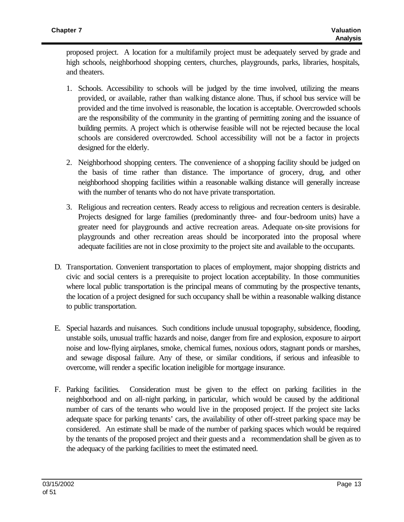proposed project. A location for a multifamily project must be adequately served by grade and high schools, neighborhood shopping centers, churches, playgrounds, parks, libraries, hospitals, and theaters.

- 1. Schools. Accessibility to schools will be judged by the time involved, utilizing the means provided, or available, rather than walking distance alone. Thus, if school bus service will be provided and the time involved is reasonable, the location is acceptable. Overcrowded schools are the responsibility of the community in the granting of permitting zoning and the issuance of building permits. A project which is otherwise feasible will not be rejected because the local schools are considered overcrowded. School accessibility will not be a factor in projects designed for the elderly.
- 2. Neighborhood shopping centers. The convenience of a shopping facility should be judged on the basis of time rather than distance. The importance of grocery, drug, and other neighborhood shopping facilities within a reasonable walking distance will generally increase with the number of tenants who do not have private transportation.
- 3. Religious and recreation centers. Ready access to religious and recreation centers is desirable. Projects designed for large families (predominantly three- and four-bedroom units) have a greater need for playgrounds and active recreation areas. Adequate on-site provisions for playgrounds and other recreation areas should be incorporated into the proposal where adequate facilities are not in close proximity to the project site and available to the occupants.
- D. Transportation. Convenient transportation to places of employment, major shopping districts and civic and social centers is a prerequisite to project location acceptability. In those communities where local public transportation is the principal means of commuting by the prospective tenants, the location of a project designed for such occupancy shall be within a reasonable walking distance to public transportation.
- E. Special hazards and nuisances. Such conditions include unusual topography, subsidence, flooding, unstable soils, unusual traffic hazards and noise, danger from fire and explosion, exposure to airport noise and low-flying airplanes, smoke, chemical fumes, noxious odors, stagnant ponds or marshes, and sewage disposal failure. Any of these, or similar conditions, if serious and infeasible to overcome, will render a specific location ineligible for mortgage insurance.
- F. Parking facilities. Consideration must be given to the effect on parking facilities in the neighborhood and on all-night parking, in particular, which would be caused by the additional number of cars of the tenants who would live in the proposed project. If the project site lacks adequate space for parking tenants' cars, the availability of other off-street parking space may be considered. An estimate shall be made of the number of parking spaces which would be required by the tenants of the proposed project and their guests and a recommendation shall be given as to the adequacy of the parking facilities to meet the estimated need.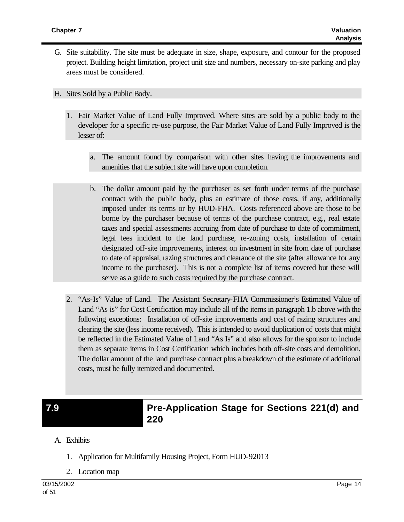- G. Site suitability. The site must be adequate in size, shape, exposure, and contour for the proposed project. Building height limitation, project unit size and numbers, necessary on-site parking and play areas must be considered.
- H. Sites Sold by a Public Body.
	- 1. Fair Market Value of Land Fully Improved. Where sites are sold by a public body to the developer for a specific re-use purpose, the Fair Market Value of Land Fully Improved is the lesser of:
		- a. The amount found by comparison with other sites having the improvements and amenities that the subject site will have upon completion.
		- b. The dollar amount paid by the purchaser as set forth under terms of the purchase contract with the public body, plus an estimate of those costs, if any, additionally imposed under its terms or by HUD-FHA. Costs referenced above are those to be borne by the purchaser because of terms of the purchase contract, e.g., real estate taxes and special assessments accruing from date of purchase to date of commitment, legal fees incident to the land purchase, re-zoning costs, installation of certain designated off-site improvements, interest on investment in site from date of purchase to date of appraisal, razing structures and clearance of the site (after allowance for any income to the purchaser). This is not a complete list of items covered but these will serve as a guide to such costs required by the purchase contract.
	- 2. "As-Is" Value of Land. The Assistant Secretary-FHA Commissioner's Estimated Value of Land "As is" for Cost Certification may include all of the items in paragraph 1.b above with the following exceptions: Installation of off-site improvements and cost of razing structures and clearing the site (less income received). This is intended to avoid duplication of costs that might be reflected in the Estimated Value of Land "As Is" and also allows for the sponsor to include them as separate items in Cost Certification which includes both off-site costs and demolition. The dollar amount of the land purchase contract plus a breakdown of the estimate of additional costs, must be fully itemized and documented.

### **7.9 Pre-Application Stage for Sections 221(d) and 220**

- A. Exhibits
	- 1. Application for Multifamily Housing Project, Form HUD-92013
	- 2. Location map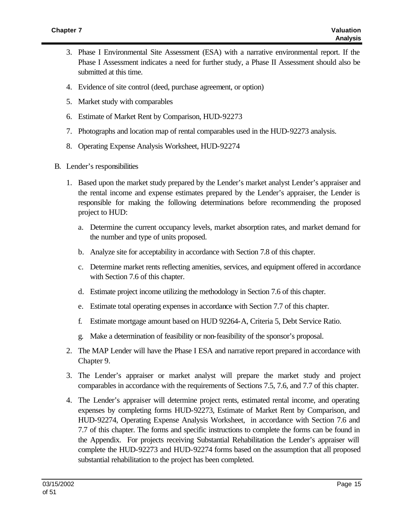- 3. Phase I Environmental Site Assessment (ESA) with a narrative environmental report. If the Phase I Assessment indicates a need for further study, a Phase II Assessment should also be submitted at this time.
- 4. Evidence of site control (deed, purchase agreement, or option)
- 5. Market study with comparables
- 6. Estimate of Market Rent by Comparison, HUD-92273
- 7. Photographs and location map of rental comparables used in the HUD-92273 analysis.
- 8. Operating Expense Analysis Worksheet, HUD-92274
- B. Lender's responsibilities
	- 1. Based upon the market study prepared by the Lender's market analyst Lender's appraiser and the rental income and expense estimates prepared by the Lender's appraiser, the Lender is responsible for making the following determinations before recommending the proposed project to HUD:
		- a. Determine the current occupancy levels, market absorption rates, and market demand for the number and type of units proposed.
		- b. Analyze site for acceptability in accordance with Section 7.8 of this chapter.
		- c. Determine market rents reflecting amenities, services, and equipment offered in accordance with Section 7.6 of this chapter.
		- d. Estimate project income utilizing the methodology in Section 7.6 of this chapter.
		- e. Estimate total operating expenses in accordance with Section 7.7 of this chapter.
		- f. Estimate mortgage amount based on HUD 92264-A, Criteria 5, Debt Service Ratio.
		- g. Make a determination of feasibility or non-feasibility of the sponsor's proposal.
	- 2. The MAP Lender will have the Phase I ESA and narrative report prepared in accordance with Chapter 9.
	- 3. The Lender's appraiser or market analyst will prepare the market study and project comparables in accordance with the requirements of Sections 7.5, 7.6, and 7.7 of this chapter.
	- 4. The Lender's appraiser will determine project rents, estimated rental income, and operating expenses by completing forms HUD-92273, Estimate of Market Rent by Comparison, and HUD-92274, Operating Expense Analysis Worksheet, in accordance with Section 7.6 and 7.7 of this chapter. The forms and specific instructions to complete the forms can be found in the Appendix. For projects receiving Substantial Rehabilitation the Lender's appraiser will complete the HUD-92273 and HUD-92274 forms based on the assumption that all proposed substantial rehabilitation to the project has been completed.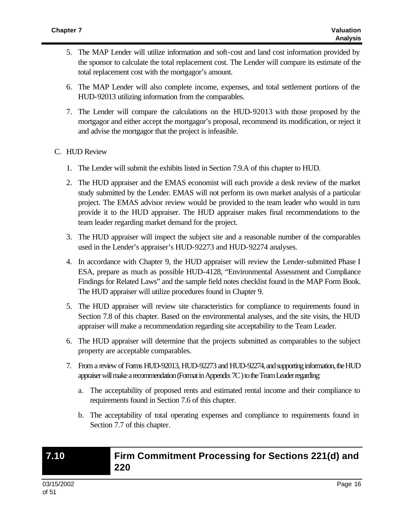- 5. The MAP Lender will utilize information and soft-cost and land cost information provided by the sponsor to calculate the total replacement cost. The Lender will compare its estimate of the total replacement cost with the mortgagor's amount.
- 6. The MAP Lender will also complete income, expenses, and total settlement portions of the HUD-92013 utilizing information from the comparables.
- 7. The Lender will compare the calculations on the HUD-92013 with those proposed by the mortgagor and either accept the mortgagor's proposal, recommend its modification, or reject it and advise the mortgagor that the project is infeasible.

#### C. HUD Review

- 1. The Lender will submit the exhibits listed in Section 7.9.A of this chapter to HUD.
- 2. The HUD appraiser and the EMAS economist will each provide a desk review of the market study submitted by the Lender. EMAS will not perform its own market analysis of a particular project. The EMAS advisor review would be provided to the team leader who would in turn provide it to the HUD appraiser. The HUD appraiser makes final recommendations to the team leader regarding market demand for the project.
- 3. The HUD appraiser will inspect the subject site and a reasonable number of the comparables used in the Lender's appraiser's HUD-92273 and HUD-92274 analyses.
- 4. In accordance with Chapter 9, the HUD appraiser will review the Lender-submitted Phase I ESA, prepare as much as possible HUD-4128, "Environmental Assessment and Compliance Findings for Related Laws" and the sample field notes checklist found in the MAP Form Book. The HUD appraiser will utilize procedures found in Chapter 9.
- 5. The HUD appraiser will review site characteristics for compliance to requirements found in Section 7.8 of this chapter. Based on the environmental analyses, and the site visits, the HUD appraiser will make a recommendation regarding site acceptability to the Team Leader.
- 6. The HUD appraiser will determine that the projects submitted as comparables to the subject property are acceptable comparables.
- 7. From a review of Forms HUD-92013, HUD-92273 and HUD-92274, and supporting information, the HUD appraiser will make a recommendation (Format in Appendix 7C ) to the Team Leader regarding:
	- a. The acceptability of proposed rents and estimated rental income and their compliance to requirements found in Section 7.6 of this chapter.
	- b. The acceptability of total operating expenses and compliance to requirements found in Section 7.7 of this chapter.

### **7.10 Firm Commitment Processing for Sections 221(d) and 220**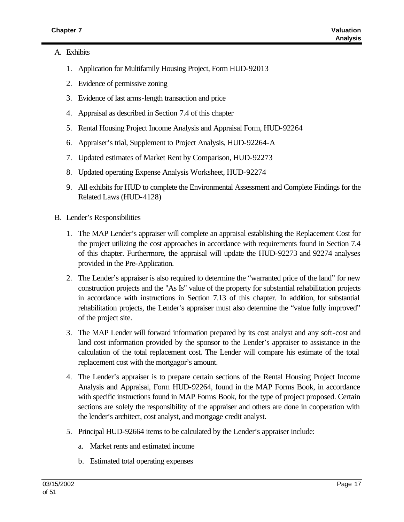#### A. Exhibits

- 1. Application for Multifamily Housing Project, Form HUD-92013
- 2. Evidence of permissive zoning
- 3. Evidence of last arms-length transaction and price
- 4. Appraisal as described in Section 7.4 of this chapter
- 5. Rental Housing Project Income Analysis and Appraisal Form, HUD-92264
- 6. Appraiser's trial, Supplement to Project Analysis, HUD-92264-A
- 7. Updated estimates of Market Rent by Comparison, HUD-92273
- 8. Updated operating Expense Analysis Worksheet, HUD-92274
- 9. All exhibits for HUD to complete the Environmental Assessment and Complete Findings for the Related Laws (HUD-4128)
- B. Lender's Responsibilities
	- 1. The MAP Lender's appraiser will complete an appraisal establishing the Replacement Cost for the project utilizing the cost approaches in accordance with requirements found in Section 7.4 of this chapter. Furthermore, the appraisal will update the HUD-92273 and 92274 analyses provided in the Pre-Application.
	- 2. The Lender's appraiser is also required to determine the "warranted price of the land" for new construction projects and the "As Is" value of the property for substantial rehabilitation projects in accordance with instructions in Section 7.13 of this chapter. In addition, for substantial rehabilitation projects, the Lender's appraiser must also determine the "value fully improved" of the project site.
	- 3. The MAP Lender will forward information prepared by its cost analyst and any soft-cost and land cost information provided by the sponsor to the Lender's appraiser to assistance in the calculation of the total replacement cost. The Lender will compare his estimate of the total replacement cost with the mortgagor's amount.
	- 4. The Lender's appraiser is to prepare certain sections of the Rental Housing Project Income Analysis and Appraisal, Form HUD-92264, found in the MAP Forms Book, in accordance with specific instructions found in MAP Forms Book, for the type of project proposed. Certain sections are solely the responsibility of the appraiser and others are done in cooperation with the lender's architect, cost analyst, and mortgage credit analyst.
	- 5. Principal HUD-92664 items to be calculated by the Lender's appraiser include:
		- a. Market rents and estimated income
		- b. Estimated total operating expenses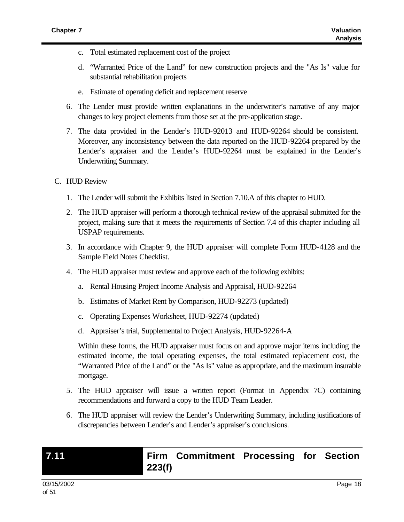- c. Total estimated replacement cost of the project
- d. "Warranted Price of the Land" for new construction projects and the "As Is" value for substantial rehabilitation projects
- e. Estimate of operating deficit and replacement reserve
- 6. The Lender must provide written explanations in the underwriter's narrative of any major changes to key project elements from those set at the pre-application stage.
- 7. The data provided in the Lender's HUD-92013 and HUD-92264 should be consistent. Moreover, any inconsistency between the data reported on the HUD-92264 prepared by the Lender's appraiser and the Lender's HUD-92264 must be explained in the Lender's Underwriting Summary.
- C. HUD Review
	- 1. The Lender will submit the Exhibits listed in Section 7.10.A of this chapter to HUD.
	- 2. The HUD appraiser will perform a thorough technical review of the appraisal submitted for the project, making sure that it meets the requirements of Section 7.4 of this chapter including all USPAP requirements.
	- 3. In accordance with Chapter 9, the HUD appraiser will complete Form HUD-4128 and the Sample Field Notes Checklist.
	- 4. The HUD appraiser must review and approve each of the following exhibits:
		- a. Rental Housing Project Income Analysis and Appraisal, HUD-92264
		- b. Estimates of Market Rent by Comparison, HUD-92273 (updated)
		- c. Operating Expenses Worksheet, HUD-92274 (updated)
		- d. Appraiser's trial, Supplemental to Project Analysis, HUD-92264-A

Within these forms, the HUD appraiser must focus on and approve major items including the estimated income, the total operating expenses, the total estimated replacement cost, the "Warranted Price of the Land" or the "As Is" value as appropriate, and the maximum insurable mortgage.

- 5. The HUD appraiser will issue a written report (Format in Appendix 7C) containing recommendations and forward a copy to the HUD Team Leader.
- 6. The HUD appraiser will review the Lender's Underwriting Summary, including justifications of discrepancies between Lender's and Lender's appraiser's conclusions.

## **7.11 Firm Commitment Processing for Section 223(f)**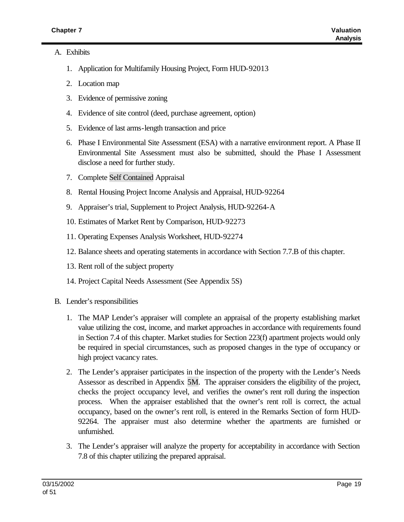#### A. Exhibits

- 1. Application for Multifamily Housing Project, Form HUD-92013
- 2. Location map
- 3. Evidence of permissive zoning
- 4. Evidence of site control (deed, purchase agreement, option)
- 5. Evidence of last arms-length transaction and price
- 6. Phase I Environmental Site Assessment (ESA) with a narrative environment report. A Phase II Environmental Site Assessment must also be submitted, should the Phase I Assessment disclose a need for further study.
- 7. Complete Self Contained Appraisal
- 8. Rental Housing Project Income Analysis and Appraisal, HUD-92264
- 9. Appraiser's trial, Supplement to Project Analysis, HUD-92264-A
- 10. Estimates of Market Rent by Comparison, HUD-92273
- 11. Operating Expenses Analysis Worksheet, HUD-92274
- 12. Balance sheets and operating statements in accordance with Section 7.7.B of this chapter.
- 13. Rent roll of the subject property
- 14. Project Capital Needs Assessment (See Appendix 5S)
- B. Lender's responsibilities
	- 1. The MAP Lender's appraiser will complete an appraisal of the property establishing market value utilizing the cost, income, and market approaches in accordance with requirements found in Section 7.4 of this chapter. Market studies for Section 223(f) apartment projects would only be required in special circumstances, such as proposed changes in the type of occupancy or high project vacancy rates.
	- 2. The Lender's appraiser participates in the inspection of the property with the Lender's Needs Assessor as described in Appendix 5M. The appraiser considers the eligibility of the project, checks the project occupancy level, and verifies the owner's rent roll during the inspection process. When the appraiser established that the owner's rent roll is correct, the actual occupancy, based on the owner's rent roll, is entered in the Remarks Section of form HUD-92264. The appraiser must also determine whether the apartments are furnished or unfurnished.
	- 3. The Lender's appraiser will analyze the property for acceptability in accordance with Section 7.8 of this chapter utilizing the prepared appraisal.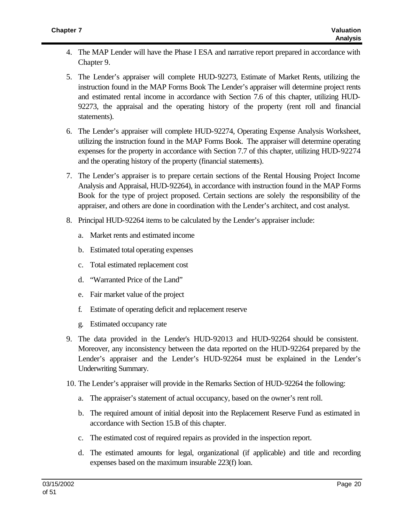- 4. The MAP Lender will have the Phase I ESA and narrative report prepared in accordance with Chapter 9.
- 5. The Lender's appraiser will complete HUD-92273, Estimate of Market Rents, utilizing the instruction found in the MAP Forms Book The Lender's appraiser will determine project rents and estimated rental income in accordance with Section 7.6 of this chapter, utilizing HUD-92273, the appraisal and the operating history of the property (rent roll and financial statements).
- 6. The Lender's appraiser will complete HUD-92274, Operating Expense Analysis Worksheet, utilizing the instruction found in the MAP Forms Book. The appraiser will determine operating expenses for the property in accordance with Section 7.7 of this chapter, utilizing HUD-92274 and the operating history of the property (financial statements).
- 7. The Lender's appraiser is to prepare certain sections of the Rental Housing Project Income Analysis and Appraisal, HUD-92264), in accordance with instruction found in the MAP Forms Book for the type of project proposed. Certain sections are solely the responsibility of the appraiser, and others are done in coordination with the Lender's architect, and cost analyst.
- 8. Principal HUD-92264 items to be calculated by the Lender's appraiser include:
	- a. Market rents and estimated income
	- b. Estimated total operating expenses
	- c. Total estimated replacement cost
	- d. "Warranted Price of the Land"
	- e. Fair market value of the project
	- f. Estimate of operating deficit and replacement reserve
	- g. Estimated occupancy rate
- 9. The data provided in the Lender's HUD-92013 and HUD-92264 should be consistent. Moreover, any inconsistency between the data reported on the HUD-92264 prepared by the Lender's appraiser and the Lender's HUD-92264 must be explained in the Lender's Underwriting Summary.
- 10. The Lender's appraiser will provide in the Remarks Section of HUD-92264 the following:
	- a. The appraiser's statement of actual occupancy, based on the owner's rent roll.
	- b. The required amount of initial deposit into the Replacement Reserve Fund as estimated in accordance with Section 15.B of this chapter.
	- c. The estimated cost of required repairs as provided in the inspection report.
	- d. The estimated amounts for legal, organizational (if applicable) and title and recording expenses based on the maximum insurable 223(f) loan.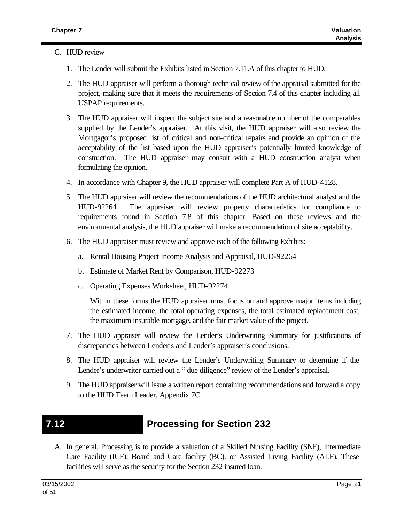### C. HUD review

- 1. The Lender will submit the Exhibits listed in Section 7.11.A of this chapter to HUD.
- 2. The HUD appraiser will perform a thorough technical review of the appraisal submitted for the project, making sure that it meets the requirements of Section 7.4 of this chapter including all USPAP requirements.
- 3. The HUD appraiser will inspect the subject site and a reasonable number of the comparables supplied by the Lender's appraiser. At this visit, the HUD appraiser will also review the Mortgagor's proposed list of critical and non-critical repairs and provide an opinion of the acceptability of the list based upon the HUD appraiser's potentially limited knowledge of construction. The HUD appraiser may consult with a HUD construction analyst when formulating the opinion.
- 4. In accordance with Chapter 9, the HUD appraiser will complete Part A of HUD-4128.
- 5. The HUD appraiser will review the recommendations of the HUD architectural analyst and the HUD-92264. The appraiser will review property characteristics for compliance to requirements found in Section 7.8 of this chapter. Based on these reviews and the environmental analysis, the HUD appraiser will make a recommendation of site acceptability.
- 6. The HUD appraiser must review and approve each of the following Exhibits:
	- a. Rental Housing Project Income Analysis and Appraisal, HUD-92264
	- b. Estimate of Market Rent by Comparison, HUD-92273
	- c. Operating Expenses Worksheet, HUD-92274

Within these forms the HUD appraiser must focus on and approve major items including the estimated income, the total operating expenses, the total estimated replacement cost, the maximum insurable mortgage, and the fair market value of the project.

- 7. The HUD appraiser will review the Lender's Underwriting Summary for justifications of discrepancies between Lender's and Lender's appraiser's conclusions.
- 8. The HUD appraiser will review the Lender's Underwriting Summary to determine if the Lender's underwriter carried out a " due diligence" review of the Lender's appraisal.
- 9. The HUD appraiser will issue a written report containing recommendations and forward a copy to the HUD Team Leader, Appendix 7C.

## **7.12 Processing for Section 232**

A. In general. Processing is to provide a valuation of a Skilled Nursing Facility (SNF), Intermediate Care Facility (ICF), Board and Care facility (BC), or Assisted Living Facility (ALF). These facilities will serve as the security for the Section 232 insured loan.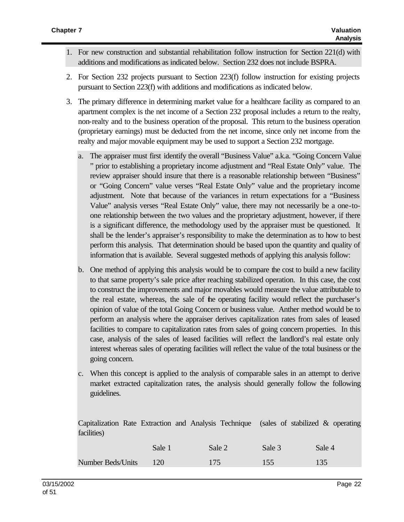- 1. For new construction and substantial rehabilitation follow instruction for Section 221(d) with additions and modifications as indicated below. Section 232 does not include BSPRA.
- 2. For Section 232 projects pursuant to Section 223(f) follow instruction for existing projects pursuant to Section 223(f) with additions and modifications as indicated below.
- 3. The primary difference in determining market value for a healthcare facility as compared to an apartment complex is the net income of a Section 232 proposal includes a return to the realty, non-realty and to the business operation of the proposal. This return to the business operation (proprietary earnings) must be deducted from the net income, since only net income from the realty and major movable equipment may be used to support a Section 232 mortgage.
	- a. The appraiser must first identify the overall "Business Value" a.k.a. "Going Concern Value " prior to establishing a proprietary income adjustment and "Real Estate Only" value. The review appraiser should insure that there is a reasonable relationship between "Business" or "Going Concern" value verses "Real Estate Only" value and the proprietary income adjustment. Note that because of the variances in return expectations for a "Business Value" analysis verses "Real Estate Only" value, there may not necessarily be a one-toone relationship between the two values and the proprietary adjustment, however, if there is a significant difference, the methodology used by the appraiser must be questioned. It shall be the lender's appraiser's responsibility to make the determination as to how to best perform this analysis. That determination should be based upon the quantity and quality of information that is available. Several suggested methods of applying this analysis follow:
	- b. One method of applying this analysis would be to compare the cost to build a new facility to that same property's sale price after reaching stabilized operation. In this case, the cost to construct the improvements and major movables would measure the value attributable to the real estate, whereas, the sale of the operating facility would reflect the purchaser's opinion of value of the total Going Concern or business value. Anther method would be to perform an analysis where the appraiser derives capitalization rates from sales of leased facilities to compare to capitalization rates from sales of going concern properties. In this case, analysis of the sales of leased facilities will reflect the landlord's real estate only interest whereas sales of operating facilities will reflect the value of the total business or the going concern.
	- c. When this concept is applied to the analysis of comparable sales in an attempt to derive market extracted capitalization rates, the analysis should generally follow the following guidelines.

Capitalization Rate Extraction and Analysis Technique (sales of stabilized & operating facilities)

|                          | Sale 1 | Sale 2 | Sale 3 | Sale 4 |
|--------------------------|--------|--------|--------|--------|
| <b>Number Beds/Units</b> | 120    | 175    | 155    | 135    |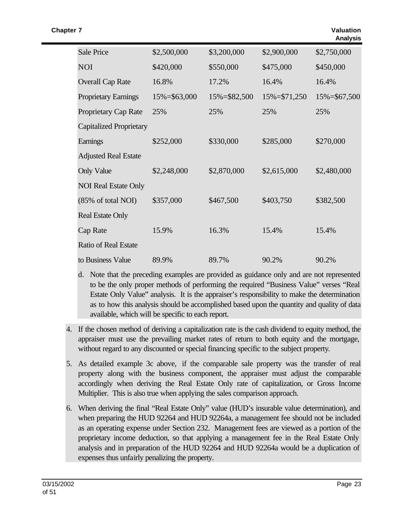| <b>Sale Price</b>              | \$2,500,000      | \$3,200,000  | \$2,900,000      | \$2,750,000      |
|--------------------------------|------------------|--------------|------------------|------------------|
| <b>NOI</b>                     | \$420,000        | \$550,000    | \$475,000        | \$450,000        |
| <b>Overall Cap Rate</b>        | 16.8%            | 17.2%        | 16.4%            | 16.4%            |
| <b>Proprietary Earnings</b>    | $15\% = $63,000$ | 15%=\$82,500 | $15\% = $71,250$ | $15\% = $67,500$ |
| Proprietary Cap Rate           | 25%              | 25%          | 25%              | 25%              |
| <b>Capitalized Proprietary</b> |                  |              |                  |                  |
| Earnings                       | \$252,000        | \$330,000    | \$285,000        | \$270,000        |
| <b>Adjusted Real Estate</b>    |                  |              |                  |                  |
| <b>Only Value</b>              | \$2,248,000      | \$2,870,000  | \$2,615,000      | \$2,480,000      |
| <b>NOI Real Estate Only</b>    |                  |              |                  |                  |
| (85% of total NOI)             | \$357,000        | \$467,500    | \$403,750        | \$382,500        |
| <b>Real Estate Only</b>        |                  |              |                  |                  |
| <b>Cap Rate</b>                | 15.9%            | 16.3%        | 15.4%            | 15.4%            |
| <b>Ratio of Real Estate</b>    |                  |              |                  |                  |
| to Business Value              | 89.9%            | 89.7%        | 90.2%            | 90.2%            |

- d. Note that the preceding examples are provided as guidance only and are not represented to be the only proper methods of performing the required "Business Value" verses "Real Estate Only Value" analysis. It is the appraiser's responsibility to make the determination as to how this analysis should be accomplished based upon the quantity and quality of data available, which will be specific to each report.
- 4. If the chosen method of deriving a capitalization rate is the cash dividend to equity method, the appraiser must use the prevailing market rates of return to both equity and the mortgage, without regard to any discounted or special financing specific to the subject property.
- 5. As detailed example 3c above, if the comparable sale property was the transfer of real property along with the business component, the appraiser must adjust the comparable accordingly when deriving the Real Estate Only rate of capitalization, or Gross Income Multiplier. This is also true when applying the sales comparison approach.
- 6. When deriving the final "Real Estate Only" value (HUD's insurable value determination), and when preparing the HUD 92264 and HUD 92264a, a management fee should not be included as an operating expense under Section 232. Management fees are viewed as a portion of the proprietary income deduction, so that applying a management fee in the Real Estate Only analysis and in preparation of the HUD 92264 and HUD 92264a would be a duplication of expenses thus unfairly penalizing the property.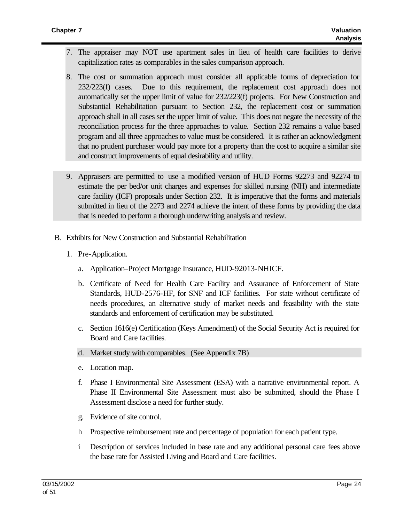- 7. The appraiser may NOT use apartment sales in lieu of health care facilities to derive capitalization rates as comparables in the sales comparison approach.
- 8. The cost or summation approach must consider all applicable forms of depreciation for 232/223(f) cases. Due to this requirement, the replacement cost approach does not automatically set the upper limit of value for 232/223(f) projects. For New Construction and Substantial Rehabilitation pursuant to Section 232, the replacement cost or summation approach shall in all cases set the upper limit of value. This does not negate the necessity of the reconciliation process for the three approaches to value. Section 232 remains a value based program and all three approaches to value must be considered. It is rather an acknowledgment that no prudent purchaser would pay more for a property than the cost to acquire a similar site and construct improvements of equal desirability and utility.
- 9. Appraisers are permitted to use a modified version of HUD Forms 92273 and 92274 to estimate the per bed/or unit charges and expenses for skilled nursing (NH) and intermediate care facility (ICF) proposals under Section 232. It is imperative that the forms and materials submitted in lieu of the 2273 and 2274 achieve the intent of these forms by providing the data that is needed to perform a thorough underwriting analysis and review.
- B. Exhibits for New Construction and Substantial Rehabilitation
	- 1. Pre-Application.
		- a. Application–Project Mortgage Insurance, HUD-92013-NHICF.
		- b. Certificate of Need for Health Care Facility and Assurance of Enforcement of State Standards, HUD-2576-HF, for SNF and ICF facilities. For state without certificate of needs procedures, an alternative study of market needs and feasibility with the state standards and enforcement of certification may be substituted.
		- c. Section 1616(e) Certification (Keys Amendment) of the Social Security Act is required for Board and Care facilities.
		- d. Market study with comparables. (See Appendix 7B)
		- e. Location map.
		- f. Phase I Environmental Site Assessment (ESA) with a narrative environmental report. A Phase II Environmental Site Assessment must also be submitted, should the Phase I Assessment disclose a need for further study.
		- g. Evidence of site control.
		- h Prospective reimbursement rate and percentage of population for each patient type.
		- i Description of services included in base rate and any additional personal care fees above the base rate for Assisted Living and Board and Care facilities.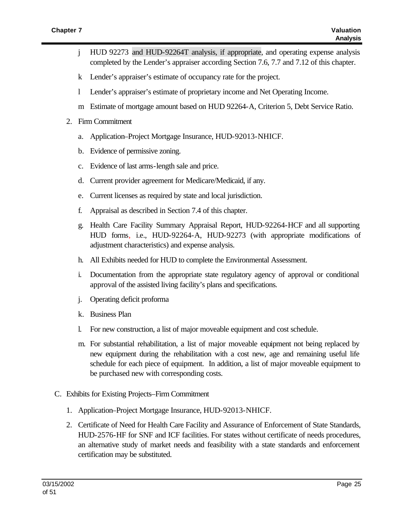- j HUD 92273 and HUD-92264T analysis, if appropriate, and operating expense analysis completed by the Lender's appraiser according Section 7.6, 7.7 and 7.12 of this chapter.
- k Lender's appraiser's estimate of occupancy rate for the project.
- l Lender's appraiser's estimate of proprietary income and Net Operating Income.
- m Estimate of mortgage amount based on HUD 92264-A, Criterion 5, Debt Service Ratio.
- 2. Firm Commitment
	- a. Application–Project Mortgage Insurance, HUD-92013-NHICF.
	- b. Evidence of permissive zoning.
	- c. Evidence of last arms-length sale and price.
	- d. Current provider agreement for Medicare/Medicaid, if any.
	- e. Current licenses as required by state and local jurisdiction.
	- f. Appraisal as described in Section 7.4 of this chapter.
	- g. Health Care Facility Summary Appraisal Report, HUD-92264-HCF and all supporting HUD forms, i.e., HUD-92264-A, HUD-92273 (with appropriate modifications of adjustment characteristics) and expense analysis.
	- h. All Exhibits needed for HUD to complete the Environmental Assessment.
	- i. Documentation from the appropriate state regulatory agency of approval or conditional approval of the assisted living facility's plans and specifications.
	- j. Operating deficit proforma
	- k. Business Plan
	- l. For new construction, a list of major moveable equipment and cost schedule.
	- m. For substantial rehabilitation, a list of major moveable equipment not being replaced by new equipment during the rehabilitation with a cost new, age and remaining useful life schedule for each piece of equipment. In addition, a list of major moveable equipment to be purchased new with corresponding costs.
- C. Exhibits for Existing Projects–Firm Commitment
	- 1. Application–Project Mortgage Insurance, HUD-92013-NHICF.
	- 2. Certificate of Need for Health Care Facility and Assurance of Enforcement of State Standards, HUD-2576-HF for SNF and ICF facilities. For states without certificate of needs procedures, an alternative study of market needs and feasibility with a state standards and enforcement certification may be substituted.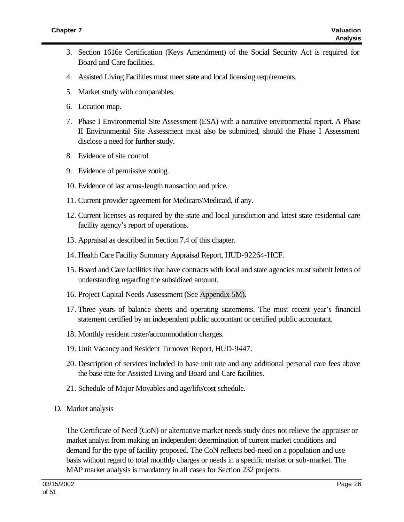- 3. Section 1616e Certification (Keys Amendment) of the Social Security Act is required for Board and Care facilities.
- 4. Assisted Living Facilities must meet state and local licensing requirements.
- 5. Market study with comparables.
- 6. Location map.
- 7. Phase I Environmental Site Assessment (ESA) with a narrative environmental report. A Phase II Environmental Site Assessment must also be submitted, should the Phase I Assessment disclose a need for further study.
- 8. Evidence of site control.
- 9. Evidence of permissive zoning.
- 10. Evidence of last arms-length transaction and price.
- 11. Current provider agreement for Medicare/Medicaid, if any.
- 12. Current licenses as required by the state and local jurisdiction and latest state residential care facility agency's report of operations.
- 13. Appraisal as described in Section 7.4 of this chapter.
- 14. Health Care Facility Summary Appraisal Report, HUD-92264-HCF.
- 15. Board and Care facilities that have contracts with local and state agencies must submit letters of understanding regarding the subsidized amount.
- 16. Project Capital Needs Assessment (See Appendix 5M).
- 17. Three years of balance sheets and operating statements. The most recent year's financial statement certified by an independent public accountant or certified public accountant.
- 18. Monthly resident roster/accommodation charges.
- 19. Unit Vacancy and Resident Turnover Report, HUD-9447.
- 20. Description of services included in base unit rate and any additional personal care fees above the base rate for Assisted Living and Board and Care facilities.
- 21. Schedule of Major Movables and age/life/cost schedule.
- D. Market analysis

The Certificate of Need (CoN) or alternative market needs study does not relieve the appraiser or market analyst from making an independent determination of current market conditions and demand for the type of facility proposed. The CoN reflects bed-need on a population and use basis without regard to total monthly charges or needs in a specific market or sub-market. The MAP market analysis is mandatory in all cases for Section 232 projects.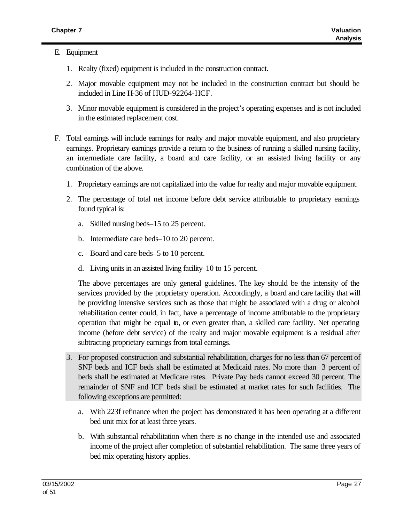### E. Equipment

- 1. Realty (fixed) equipment is included in the construction contract.
- 2. Major movable equipment may not be included in the construction contract but should be included in Line H-36 of HUD-92264-HCF.
- 3. Minor movable equipment is considered in the project's operating expenses and is not included in the estimated replacement cost.
- F. Total earnings will include earnings for realty and major movable equipment, and also proprietary earnings. Proprietary earnings provide a return to the business of running a skilled nursing facility, an intermediate care facility, a board and care facility, or an assisted living facility or any combination of the above.
	- 1. Proprietary earnings are not capitalized into the value for realty and major movable equipment.
	- 2. The percentage of total net income before debt service attributable to proprietary earnings found typical is:
		- a. Skilled nursing beds–15 to 25 percent.
		- b. Intermediate care beds–10 to 20 percent.
		- c. Board and care beds–5 to 10 percent.
		- d. Living units in an assisted living facility–10 to 15 percent.

The above percentages are only general guidelines. The key should be the intensity of the services provided by the proprietary operation. Accordingly, a board and care facility that will be providing intensive services such as those that might be associated with a drug or alcohol rehabilitation center could, in fact, have a percentage of income attributable to the proprietary operation that might be equal to, or even greater than, a skilled care facility. Net operating income (before debt service) of the realty and major movable equipment is a residual after subtracting proprietary earnings from total earnings.

- 3. For proposed construction and substantial rehabilitation, charges for no less than 67 percent of SNF beds and ICF beds shall be estimated at Medicaid rates. No more than 3 percent of beds shall be estimated at Medicare rates. Private Pay beds cannot exceed 30 percent. The remainder of SNF and ICF beds shall be estimated at market rates for such facilities. The following exceptions are permitted:
	- a. With 223f refinance when the project has demonstrated it has been operating at a different bed unit mix for at least three years.
	- b. With substantial rehabilitation when there is no change in the intended use and associated income of the project after completion of substantial rehabilitation. The same three years of bed mix operating history applies.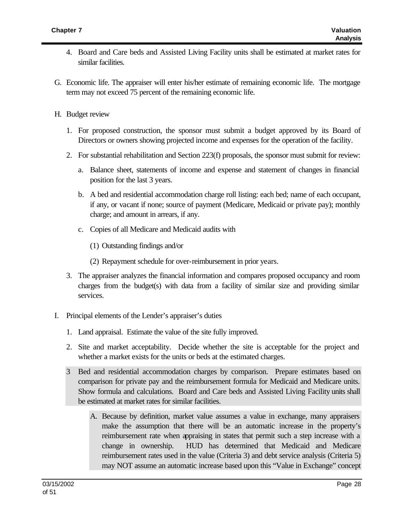- 4. Board and Care beds and Assisted Living Facility units shall be estimated at market rates for similar facilities.
- G. Economic life. The appraiser will enter his/her estimate of remaining economic life. The mortgage term may not exceed 75 percent of the remaining economic life.
- H. Budget review
	- 1. For proposed construction, the sponsor must submit a budget approved by its Board of Directors or owners showing projected income and expenses for the operation of the facility.
	- 2. For substantial rehabilitation and Section 223(f) proposals, the sponsor must submit for review:
		- a. Balance sheet, statements of income and expense and statement of changes in financial position for the last 3 years.
		- b. A bed and residential accommodation charge roll listing: each bed; name of each occupant, if any, or vacant if none; source of payment (Medicare, Medicaid or private pay); monthly charge; and amount in arrears, if any.
		- c. Copies of all Medicare and Medicaid audits with
			- (1) Outstanding findings and/or
			- (2) Repayment schedule for over-reimbursement in prior years.
	- 3. The appraiser analyzes the financial information and compares proposed occupancy and room charges from the budget(s) with data from a facility of similar size and providing similar services.
- I. Principal elements of the Lender's appraiser's duties
	- 1. Land appraisal. Estimate the value of the site fully improved.
	- 2. Site and market acceptability. Decide whether the site is acceptable for the project and whether a market exists for the units or beds at the estimated charges.
	- 3 Bed and residential accommodation charges by comparison. Prepare estimates based on comparison for private pay and the reimbursement formula for Medicaid and Medicare units. Show formula and calculations. Board and Care beds and Assisted Living Facility units shall be estimated at market rates for similar facilities.
		- A. Because by definition, market value assumes a value in exchange, many appraisers make the assumption that there will be an automatic increase in the property's reimbursement rate when appraising in states that permit such a step increase with a change in ownership. HUD has determined that Medicaid and Medicare reimbursement rates used in the value (Criteria 3) and debt service analysis (Criteria 5) may NOT assume an automatic increase based upon this "Value in Exchange" concept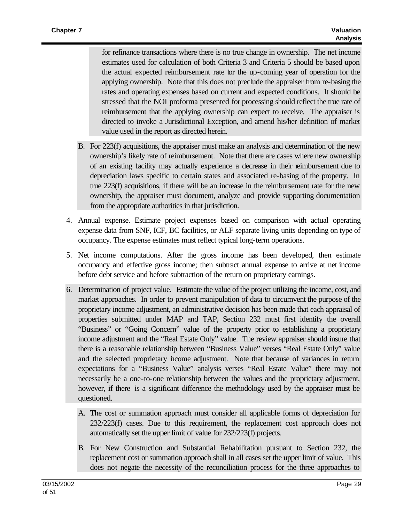for refinance transactions where there is no true change in ownership. The net income estimates used for calculation of both Criteria 3 and Criteria 5 should be based upon the actual expected reimbursement rate for the up-coming year of operation for the applying ownership. Note that this does not preclude the appraiser from re-basing the rates and operating expenses based on current and expected conditions. It should be stressed that the NOI proforma presented for processing should reflect the true rate of reimbursement that the applying ownership can expect to receive. The appraiser is directed to invoke a Jurisdictional Exception, and amend his/her definition of market value used in the report as directed herein.

- B. For 223(f) acquisitions, the appraiser must make an analysis and determination of the new ownership's likely rate of reimbursement. Note that there are cases where new ownership of an existing facility may actually experience a decrease in their reimbursement due to depreciation laws specific to certain states and associated re-basing of the property. In true 223(f) acquisitions, if there will be an increase in the reimbursement rate for the new ownership, the appraiser must document, analyze and provide supporting documentation from the appropriate authorities in that jurisdiction.
- 4. Annual expense. Estimate project expenses based on comparison with actual operating expense data from SNF, ICF, BC facilities, or ALF separate living units depending on type of occupancy. The expense estimates must reflect typical long-term operations.
- 5. Net income computations. After the gross income has been developed, then estimate occupancy and effective gross income; then subtract annual expense to arrive at net income before debt service and before subtraction of the return on proprietary earnings.
- 6. Determination of project value. Estimate the value of the project utilizing the income, cost, and market approaches. In order to prevent manipulation of data to circumvent the purpose of the proprietary income adjustment, an administrative decision has been made that each appraisal of properties submitted under MAP and TAP, Section 232 must first identify the overall "Business" or "Going Concern" value of the property prior to establishing a proprietary income adjustment and the "Real Estate Only" value. The review appraiser should insure that there is a reasonable relationship between "Business Value" verses "Real Estate Only" value and the selected proprietary income adjustment. Note that because of variances in return expectations for a "Business Value" analysis verses "Real Estate Value" there may not necessarily be a one-to-one relationship between the values and the proprietary adjustment, however, if there is a significant difference the methodology used by the appraiser must be questioned.
	- A. The cost or summation approach must consider all applicable forms of depreciation for 232/223(f) cases. Due to this requirement, the replacement cost approach does not automatically set the upper limit of value for 232/223(f) projects.
	- B. For New Construction and Substantial Rehabilitation pursuant to Section 232, the replacement cost or summation approach shall in all cases set the upper limit of value. This does not negate the necessity of the reconciliation process for the three approaches to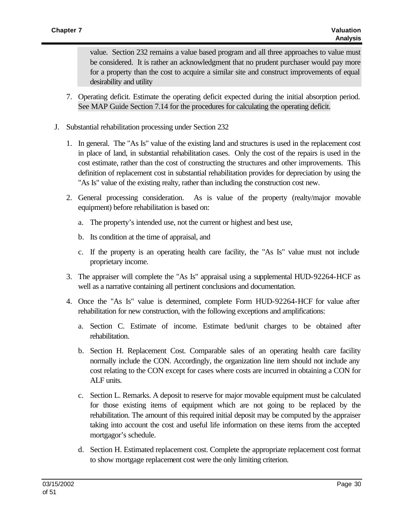value. Section 232 remains a value based program and all three approaches to value must be considered. It is rather an acknowledgment that no prudent purchaser would pay more for a property than the cost to acquire a similar site and construct improvements of equal desirability and utility

- 7. Operating deficit. Estimate the operating deficit expected during the initial absorption period. See MAP Guide Section 7.14 for the procedures for calculating the operating deficit.
- J. Substantial rehabilitation processing under Section 232
	- 1. In general. The "As Is" value of the existing land and structures is used in the replacement cost in place of land, in substantial rehabilitation cases. Only the cost of the repairs is used in the cost estimate, rather than the cost of constructing the structures and other improvements. This definition of replacement cost in substantial rehabilitation provides for depreciation by using the "As Is" value of the existing realty, rather than including the construction cost new.
	- 2. General processing consideration. As is value of the property (realty/major movable equipment) before rehabilitation is based on:
		- a. The property's intended use, not the current or highest and best use,
		- b. Its condition at the time of appraisal, and
		- c. If the property is an operating health care facility, the "As Is" value must not include proprietary income.
	- 3. The appraiser will complete the "As Is" appraisal using a supplemental HUD-92264-HCF as well as a narrative containing all pertinent conclusions and documentation.
	- 4. Once the "As Is" value is determined, complete Form HUD-92264-HCF for value after rehabilitation for new construction, with the following exceptions and amplifications:
		- a. Section C. Estimate of income. Estimate bed/unit charges to be obtained after rehabilitation.
		- b. Section H. Replacement Cost. Comparable sales of an operating health care facility normally include the CON. Accordingly, the organization line item should not include any cost relating to the CON except for cases where costs are incurred in obtaining a CON for ALF units.
		- c. Section L. Remarks. A deposit to reserve for major movable equipment must be calculated for those existing items of equipment which are not going to be replaced by the rehabilitation. The amount of this required initial deposit may be computed by the appraiser taking into account the cost and useful life information on these items from the accepted mortgagor's schedule.
		- d. Section H. Estimated replacement cost. Complete the appropriate replacement cost format to show mortgage replacement cost were the only limiting criterion.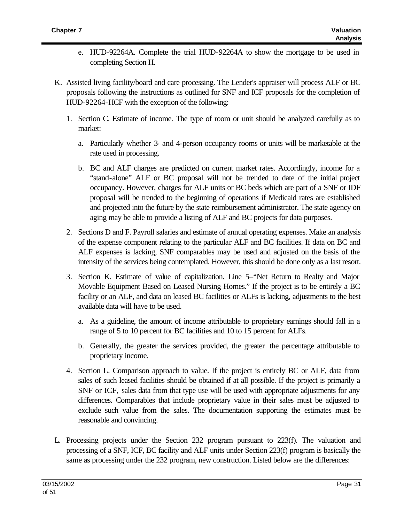- e. HUD-92264A. Complete the trial HUD-92264A to show the mortgage to be used in completing Section H.
- K. Assisted living facility/board and care processing. The Lender's appraiser will process ALF or BC proposals following the instructions as outlined for SNF and ICF proposals for the completion of HUD-92264-HCF with the exception of the following:
	- 1. Section C. Estimate of income. The type of room or unit should be analyzed carefully as to market:
		- a. Particularly whether 3- and 4-person occupancy rooms or units will be marketable at the rate used in processing.
		- b. BC and ALF charges are predicted on current market rates. Accordingly, income for a "stand-alone" ALF or BC proposal will not be trended to date of the initial project occupancy. However, charges for ALF units or BC beds which are part of a SNF or IDF proposal will be trended to the beginning of operations if Medicaid rates are established and projected into the future by the state reimbursement administrator. The state agency on aging may be able to provide a listing of ALF and BC projects for data purposes.
	- 2. Sections D and F. Payroll salaries and estimate of annual operating expenses. Make an analysis of the expense component relating to the particular ALF and BC facilities. If data on BC and ALF expenses is lacking, SNF comparables may be used and adjusted on the basis of the intensity of the services being contemplated. However, this should be done only as a last resort.
	- 3. Section K. Estimate of value of capitalization. Line 5–"Net Return to Realty and Major Movable Equipment Based on Leased Nursing Homes." If the project is to be entirely a BC facility or an ALF, and data on leased BC facilities or ALFs is lacking, adjustments to the best available data will have to be used.
		- a. As a guideline, the amount of income attributable to proprietary earnings should fall in a range of 5 to 10 percent for BC facilities and 10 to 15 percent for ALFs.
		- b. Generally, the greater the services provided, the greater the percentage attributable to proprietary income.
	- 4. Section L. Comparison approach to value. If the project is entirely BC or ALF, data from sales of such leased facilities should be obtained if at all possible. If the project is primarily a SNF or ICF, sales data from that type use will be used with appropriate adjustments for any differences. Comparables that include proprietary value in their sales must be adjusted to exclude such value from the sales. The documentation supporting the estimates must be reasonable and convincing.
- L. Processing projects under the Section 232 program pursuant to 223(f). The valuation and processing of a SNF, ICF, BC facility and ALF units under Section 223(f) program is basically the same as processing under the 232 program, new construction. Listed below are the differences: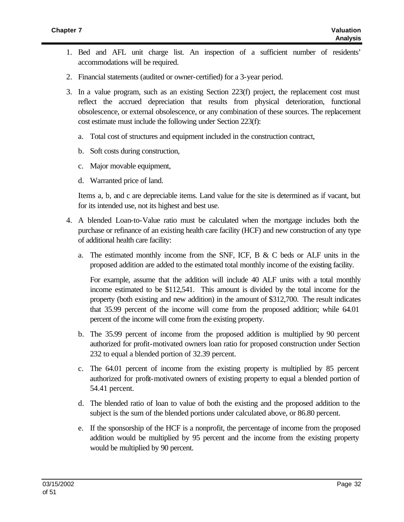- 1. Bed and AFL unit charge list. An inspection of a sufficient number of residents' accommodations will be required.
- 2. Financial statements (audited or owner-certified) for a 3-year period.
- 3. In a value program, such as an existing Section 223(f) project, the replacement cost must reflect the accrued depreciation that results from physical deterioration, functional obsolescence, or external obsolescence, or any combination of these sources. The replacement cost estimate must include the following under Section 223(f):
	- a. Total cost of structures and equipment included in the construction contract,
	- b. Soft costs during construction,
	- c. Major movable equipment,
	- d. Warranted price of land.

Items a, b, and c are depreciable items. Land value for the site is determined as if vacant, but for its intended use, not its highest and best use.

- 4. A blended Loan-to-Value ratio must be calculated when the mortgage includes both the purchase or refinance of an existing health care facility (HCF) and new construction of any type of additional health care facility:
	- a. The estimated monthly income from the SNF, ICF, B  $\&$  C beds or ALF units in the proposed addition are added to the estimated total monthly income of the existing facility.

For example, assume that the addition will include 40 ALF units with a total monthly income estimated to be \$112,541. This amount is divided by the total income for the property (both existing and new addition) in the amount of \$312,700. The result indicates that 35.99 percent of the income will come from the proposed addition; while 64.01 percent of the income will come from the existing property.

- b. The 35.99 percent of income from the proposed addition is multiplied by 90 percent authorized for profit-motivated owners loan ratio for proposed construction under Section 232 to equal a blended portion of 32.39 percent.
- c. The 64.01 percent of income from the existing property is multiplied by 85 percent authorized for profit-motivated owners of existing property to equal a blended portion of 54.41 percent.
- d. The blended ratio of loan to value of both the existing and the proposed addition to the subject is the sum of the blended portions under calculated above, or 86.80 percent.
- e. If the sponsorship of the HCF is a nonprofit, the percentage of income from the proposed addition would be multiplied by 95 percent and the income from the existing property would be multiplied by 90 percent.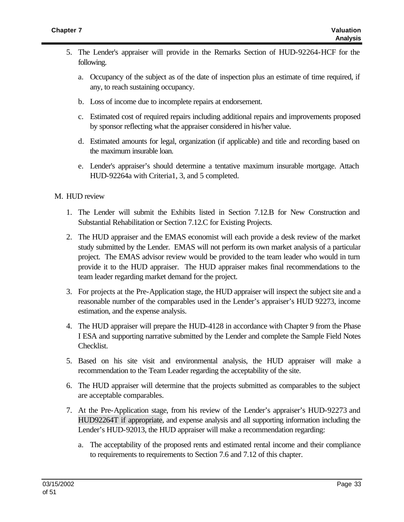- 5. The Lender's appraiser will provide in the Remarks Section of HUD-92264-HCF for the following.
	- a. Occupancy of the subject as of the date of inspection plus an estimate of time required, if any, to reach sustaining occupancy.
	- b. Loss of income due to incomplete repairs at endorsement.
	- c. Estimated cost of required repairs including additional repairs and improvements proposed by sponsor reflecting what the appraiser considered in his/her value.
	- d. Estimated amounts for legal, organization (if applicable) and title and recording based on the maximum insurable loan.
	- e. Lender's appraiser's should determine a tentative maximum insurable mortgage. Attach HUD-92264a with Criteria1, 3, and 5 completed.

### M. HUD review

- 1. The Lender will submit the Exhibits listed in Section 7.12.B for New Construction and Substantial Rehabilitation or Section 7.12.C for Existing Projects.
- 2. The HUD appraiser and the EMAS economist will each provide a desk review of the market study submitted by the Lender. EMAS will not perform its own market analysis of a particular project. The EMAS advisor review would be provided to the team leader who would in turn provide it to the HUD appraiser. The HUD appraiser makes final recommendations to the team leader regarding market demand for the project.
- 3. For projects at the Pre-Application stage, the HUD appraiser will inspect the subject site and a reasonable number of the comparables used in the Lender's appraiser's HUD 92273, income estimation, and the expense analysis.
- 4. The HUD appraiser will prepare the HUD-4128 in accordance with Chapter 9 from the Phase I ESA and supporting narrative submitted by the Lender and complete the Sample Field Notes Checklist.
- 5. Based on his site visit and environmental analysis, the HUD appraiser will make a recommendation to the Team Leader regarding the acceptability of the site.
- 6. The HUD appraiser will determine that the projects submitted as comparables to the subject are acceptable comparables.
- 7. At the Pre-Application stage, from his review of the Lender's appraiser's HUD-92273 and HUD92264T if appropriate, and expense analysis and all supporting information including the Lender's HUD-92013, the HUD appraiser will make a recommendation regarding:
	- a. The acceptability of the proposed rents and estimated rental income and their compliance to requirements to requirements to Section 7.6 and 7.12 of this chapter.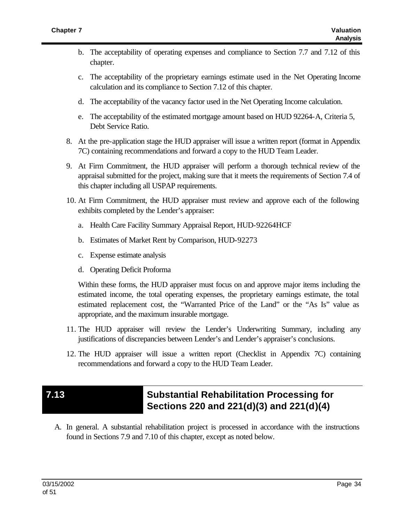- b. The acceptability of operating expenses and compliance to Section 7.7 and 7.12 of this chapter.
- c. The acceptability of the proprietary earnings estimate used in the Net Operating Income calculation and its compliance to Section 7.12 of this chapter.
- d. The acceptability of the vacancy factor used in the Net Operating Income calculation.
- e. The acceptability of the estimated mortgage amount based on HUD 92264-A, Criteria 5, Debt Service Ratio.
- 8. At the pre-application stage the HUD appraiser will issue a written report (format in Appendix 7C) containing recommendations and forward a copy to the HUD Team Leader.
- 9. At Firm Commitment, the HUD appraiser will perform a thorough technical review of the appraisal submitted for the project, making sure that it meets the requirements of Section 7.4 of this chapter including all USPAP requirements.
- 10. At Firm Commitment, the HUD appraiser must review and approve each of the following exhibits completed by the Lender's appraiser:
	- a. Health Care Facility Summary Appraisal Report, HUD-92264HCF
	- b. Estimates of Market Rent by Comparison, HUD-92273
	- c. Expense estimate analysis
	- d. Operating Deficit Proforma

Within these forms, the HUD appraiser must focus on and approve major items including the estimated income, the total operating expenses, the proprietary earnings estimate, the total estimated replacement cost, the "Warranted Price of the Land" or the "As Is" value as appropriate, and the maximum insurable mortgage.

- 11. The HUD appraiser will review the Lender's Underwriting Summary, including any justifications of discrepancies between Lender's and Lender's appraiser's conclusions.
- 12. The HUD appraiser will issue a written report (Checklist in Appendix 7C) containing recommendations and forward a copy to the HUD Team Leader.

## **7.13 Substantial Rehabilitation Processing for Sections 220 and 221(d)(3) and 221(d)(4)**

A. In general. A substantial rehabilitation project is processed in accordance with the instructions found in Sections 7.9 and 7.10 of this chapter, except as noted below.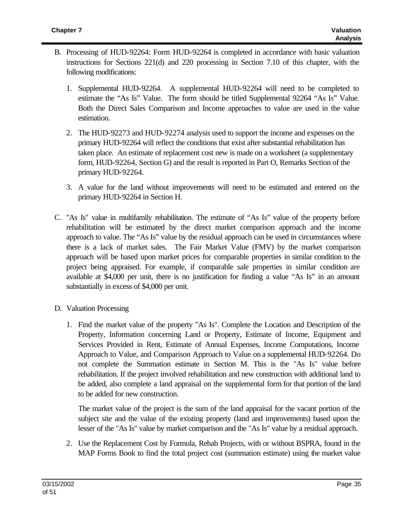- B. Processing of HUD-92264: Form HUD-92264 is completed in accordance with basic valuation instructions for Sections 221(d) and 220 processing in Section 7.10 of this chapter, with the following modifications:
	- 1. Supplemental HUD-92264. A supplemental HUD-92264 will need to be completed to estimate the "As Is" Value. The form should be titled Supplemental 92264 "As Is" Value. Both the Direct Sales Comparison and Income approaches to value are used in the value estimation.
	- 2. The HUD-92273 and HUD-92274 analysis used to support the income and expenses on the primary HUD-92264 will reflect the conditions that exist after substantial rehabilitation has taken place. An estimate of replacement cost new is made on a worksheet (a supplementary form, HUD-92264, Section G) and the result is reported in Part O, Remarks Section of the primary HUD-92264.
	- 3. A value for the land without improvements will need to be estimated and entered on the primary HUD-92264 in Section H.
- C. "As Is" value in multifamily rehabilitation. The estimate of "As Is" value of the property before rehabilitation will be estimated by the direct market comparison approach and the income approach to value. The "As Is" value by the residual approach can be used in circumstances where there is a lack of market sales. The Fair Market Value (FMV) by the market comparison approach will be based upon market prices for comparable properties in similar condition to the project being appraised. For example, if comparable sale properties in similar condition are available at \$4,000 per unit, there is no justification for finding a value "As Is" in an amount substantially in excess of \$4,000 per unit.
- D. Valuation Processing
	- 1. Find the market value of the property "As Is". Complete the Location and Description of the Property, Information concerning Land or Property, Estimate of Income, Equipment and Services Provided in Rent, Estimate of Annual Expenses, Income Computations, Income Approach to Value, and Comparison Approach to Value on a supplemental HUD-92264. Do not complete the Summation estimate in Section M. This is the "As Is" value before rehabilitation. If the project involved rehabilitation and new construction with additional land to be added, also complete a land appraisal on the supplemental form for that portion of the land to be added for new construction.

The market value of the project is the sum of the land appraisal for the vacant portion of the subject site and the value of the existing property (land and improvements) based upon the lesser of the "As Is" value by market comparison and the "As Is" value by a residual approach.

2. Use the Replacement Cost by Formula, Rehab Projects, with or without BSPRA, found in the MAP Forms Book to find the total project cost (summation estimate) using the market value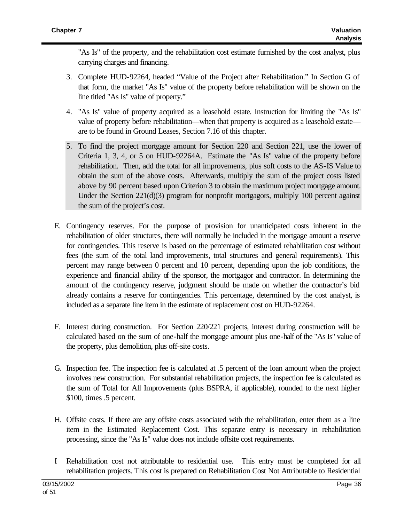"As Is" of the property, and the rehabilitation cost estimate furnished by the cost analyst, plus carrying charges and financing.

- 3. Complete HUD-92264, headed "Value of the Project after Rehabilitation." In Section G of that form, the market "As Is" value of the property before rehabilitation will be shown on the line titled "As Is" value of property."
- 4. "As Is" value of property acquired as a leasehold estate. Instruction for limiting the "As Is" value of property before rehabilitation—when that property is acquired as a leasehold estate are to be found in Ground Leases, Section 7.16 of this chapter.
- 5. To find the project mortgage amount for Section 220 and Section 221, use the lower of Criteria 1, 3, 4, or 5 on HUD-92264A. Estimate the "As Is" value of the property before rehabilitation. Then, add the total for all improvements, plus soft costs to the AS-IS Value to obtain the sum of the above costs. Afterwards, multiply the sum of the project costs listed above by 90 percent based upon Criterion 3 to obtain the maximum project mortgage amount. Under the Section 221(d)(3) program for nonprofit mortgagors, multiply 100 percent against the sum of the project's cost.
- E. Contingency reserves. For the purpose of provision for unanticipated costs inherent in the rehabilitation of older structures, there will normally be included in the mortgage amount a reserve for contingencies. This reserve is based on the percentage of estimated rehabilitation cost without fees (the sum of the total land improvements, total structures and general requirements). This percent may range between 0 percent and 10 percent, depending upon the job conditions, the experience and financial ability of the sponsor, the mortgagor and contractor. In determining the amount of the contingency reserve, judgment should be made on whether the contractor's bid already contains a reserve for contingencies. This percentage, determined by the cost analyst, is included as a separate line item in the estimate of replacement cost on HUD-92264.
- F. Interest during construction. For Section 220/221 projects, interest during construction will be calculated based on the sum of one-half the mortgage amount plus one-half of the "As Is" value of the property, plus demolition, plus off-site costs.
- G. Inspection fee. The inspection fee is calculated at .5 percent of the loan amount when the project involves new construction. For substantial rehabilitation projects, the inspection fee is calculated as the sum of Total for All Improvements (plus BSPRA, if applicable), rounded to the next higher \$100, times .5 percent.
- H. Offsite costs. If there are any offsite costs associated with the rehabilitation, enter them as a line item in the Estimated Replacement Cost. This separate entry is necessary in rehabilitation processing, since the "As Is" value does not include offsite cost requirements.
- I Rehabilitation cost not attributable to residential use. This entry must be completed for all rehabilitation projects. This cost is prepared on Rehabilitation Cost Not Attributable to Residential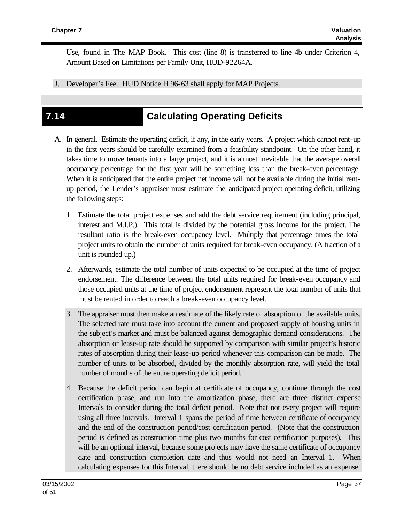Use, found in The MAP Book. This cost (line 8) is transferred to line 4b under Criterion 4, Amount Based on Limitations per Family Unit, HUD-92264A.

J. Developer's Fee. HUD Notice H 96-63 shall apply for MAP Projects.

## **7.14 Calculating Operating Deficits**

- A. In general. Estimate the operating deficit, if any, in the early years. A project which cannot rent-up in the first years should be carefully examined from a feasibility standpoint. On the other hand, it takes time to move tenants into a large project, and it is almost inevitable that the average overall occupancy percentage for the first year will be something less than the break-even percentage. When it is anticipated that the entire project net income will not be available during the initial rentup period, the Lender's appraiser must estimate the anticipated project operating deficit, utilizing the following steps:
	- 1. Estimate the total project expenses and add the debt service requirement (including principal, interest and M.I.P.). This total is divided by the potential gross income for the project. The resultant ratio is the break-even occupancy level. Multiply that percentage times the total project units to obtain the number of units required for break-even occupancy. (A fraction of a unit is rounded up.)
	- 2. Afterwards, estimate the total number of units expected to be occupied at the time of project endorsement. The difference between the total units required for break-even occupancy and those occupied units at the time of project endorsement represent the total number of units that must be rented in order to reach a break-even occupancy level.
	- 3. The appraiser must then make an estimate of the likely rate of absorption of the available units. The selected rate must take into account the current and proposed supply of housing units in the subject's market and must be balanced against demographic demand considerations. The absorption or lease-up rate should be supported by comparison with similar project's historic rates of absorption during their lease-up period whenever this comparison can be made. The number of units to be absorbed, divided by the monthly absorption rate, will yield the total number of months of the entire operating deficit period.
	- 4. Because the deficit period can begin at certificate of occupancy, continue through the cost certification phase, and run into the amortization phase, there are three distinct expense Intervals to consider during the total deficit period. Note that not every project will require using all three intervals. Interval 1 spans the period of time between certificate of occupancy and the end of the construction period/cost certification period. (Note that the construction period is defined as construction time plus two months for cost certification purposes). This will be an optional interval, because some projects may have the same certificate of occupancy date and construction completion date and thus would not need an Interval 1. When calculating expenses for this Interval, there should be no debt service included as an expense.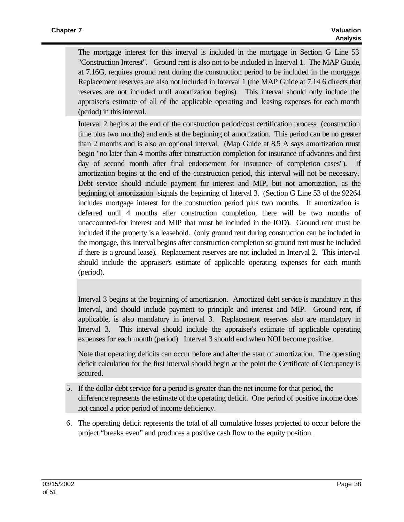The mortgage interest for this interval is included in the mortgage in Section G Line 53 "Construction Interest". Ground rent is also not to be included in Interval 1. The MAP Guide, at 7.16G, requires ground rent during the construction period to be included in the mortgage. Replacement reserves are also not included in Interval 1 (the MAP Guide at 7.14 6 directs that reserves are not included until amortization begins). This interval should only include the appraiser's estimate of all of the applicable operating and leasing expenses for each month (period) in this interval.

Interval 2 begins at the end of the construction period/cost certification process (construction time plus two months) and ends at the beginning of amortization. This period can be no greater than 2 months and is also an optional interval. (Map Guide at 8.5 A says amortization must begin "no later than 4 months after construction completion for insurance of advances and first day of second month after final endorsement for insurance of completion cases"). If amortization begins at the end of the construction period, this interval will not be necessary. Debt service should include payment for interest and MIP, but not amortization, as the beginning of amortization signals the beginning of Interval 3. (Section G Line 53 of the 92264 includes mortgage interest for the construction period plus two months. If amortization is deferred until 4 months after construction completion, there will be two months of unaccounted-for interest and MIP that must be included in the IOD). Ground rent must be included if the property is a leasehold. (only ground rent during construction can be included in the mortgage, this Interval begins after construction completion so ground rent must be included if there is a ground lease). Replacement reserves are not included in Interval 2. This interval should include the appraiser's estimate of applicable operating expenses for each month (period).

Interval 3 begins at the beginning of amortization. Amortized debt service is mandatory in this Interval, and should include payment to principle and interest and MIP. Ground rent, if applicable, is also mandatory in interval 3. Replacement reserves also are mandatory in Interval 3. This interval should include the appraiser's estimate of applicable operating expenses for each month (period). Interval 3 should end when NOI become positive.

Note that operating deficits can occur before and after the start of amortization. The operating deficit calculation for the first interval should begin at the point the Certificate of Occupancy is secured.

- 5. If the dollar debt service for a period is greater than the net income for that period, the difference represents the estimate of the operating deficit. One period of positive income does not cancel a prior period of income deficiency.
- 6. The operating deficit represents the total of all cumulative losses projected to occur before the project "breaks even" and produces a positive cash flow to the equity position.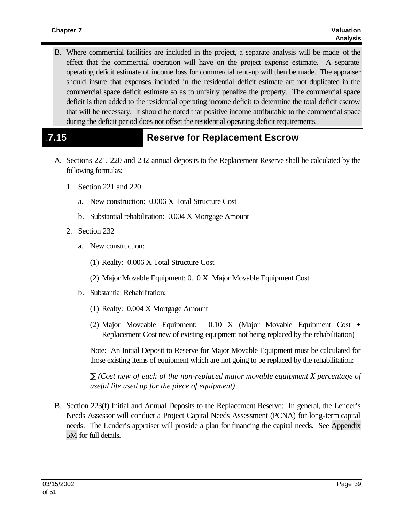B. Where commercial facilities are included in the project, a separate analysis will be made of the effect that the commercial operation will have on the project expense estimate. A separate operating deficit estimate of income loss for commercial rent-up will then be made. The appraiser should insure that expenses included in the residential deficit estimate are not duplicated in the commercial space deficit estimate so as to unfairly penalize the property. The commercial space deficit is then added to the residential operating income deficit to determine the total deficit escrow that will be necessary. It should be noted that positive income attributable to the commercial space during the deficit period does not offset the residential operating deficit requirements.

## .**7.15 Reserve for Replacement Escrow**

- A. Sections 221, 220 and 232 annual deposits to the Replacement Reserve shall be calculated by the following formulas:
	- 1. Section 221 and 220
		- a. New construction: 0.006 X Total Structure Cost
		- b. Substantial rehabilitation: 0.004 X Mortgage Amount
	- 2. Section 232
		- a. New construction:
			- (1) Realty: 0.006 X Total Structure Cost
			- (2) Major Movable Equipment: 0.10 X Major Movable Equipment Cost
		- b. Substantial Rehabilitation:
			- (1) Realty: 0.004 X Mortgage Amount
			- (2) Major Moveable Equipment: 0.10 X (Major Movable Equipment Cost + Replacement Cost new of existing equipment not being replaced by the rehabilitation)

Note: An Initial Deposit to Reserve for Major Movable Equipment must be calculated for those existing items of equipment which are not going to be replaced by the rehabilitation:

*å (Cost new of each of the non-replaced major movable equipment X percentage of useful life used up for the piece of equipment)*

B. Section 223(f) Initial and Annual Deposits to the Replacement Reserve: In general, the Lender's Needs Assessor will conduct a Project Capital Needs Assessment (PCNA) for long-term capital needs. The Lender's appraiser will provide a plan for financing the capital needs. See Appendix 5M for full details.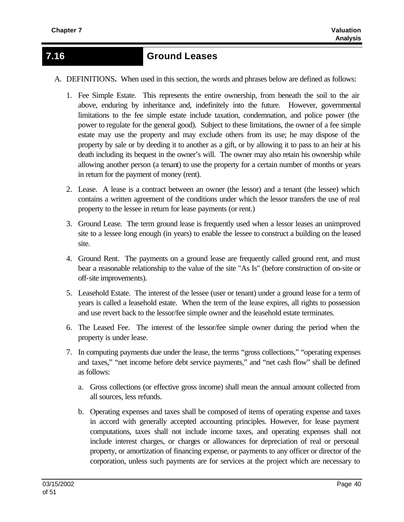## **7.16 Ground Leases**

A. DEFINITIONS**.** When used in this section, the words and phrases below are defined as follows:

- 1. Fee Simple Estate. This represents the entire ownership, from beneath the soil to the air above, enduring by inheritance and, indefinitely into the future. However, governmental limitations to the fee simple estate include taxation, condemnation, and police power (the power to regulate for the general good). Subject to these limitations, the owner of a fee simple estate may use the property and may exclude others from its use; he may dispose of the property by sale or by deeding it to another as a gift, or by allowing it to pass to an heir at his death including its bequest in the owner's will. The owner may also retain his ownership while allowing another person (a tenant) to use the property for a certain number of months or years in return for the payment of money (rent).
- 2. Lease. A lease is a contract between an owner (the lessor) and a tenant (the lessee) which contains a written agreement of the conditions under which the lessor transfers the use of real property to the lessee in return for lease payments (or rent.)
- 3. Ground Lease. The term ground lease is frequently used when a lessor leases an unimproved site to a lessee long enough (in years) to enable the lessee to construct a building on the leased site.
- 4. Ground Rent. The payments on a ground lease are frequently called ground rent, and must bear a reasonable relationship to the value of the site "As Is" (before construction of on-site or off-site improvements).
- 5. Leasehold Estate. The interest of the lessee (user or tenant) under a ground lease for a term of years is called a leasehold estate. When the term of the lease expires, all rights to possession and use revert back to the lessor/fee simple owner and the leasehold estate terminates.
- 6. The Leased Fee. The interest of the lessor/fee simple owner during the period when the property is under lease.
- 7. In computing payments due under the lease, the terms "gross collections," "operating expenses and taxes," "net income before debt service payments," and "net cash flow" shall be defined as follows:
	- a. Gross collections (or effective gross income) shall mean the annual amount collected from all sources, less refunds.
	- b. Operating expenses and taxes shall be composed of items of operating expense and taxes in accord with generally accepted accounting principles. However, for lease payment computations, taxes shall not include income taxes, and operating expenses shall not include interest charges, or charges or allowances for depreciation of real or personal property, or amortization of financing expense, or payments to any officer or director of the corporation, unless such payments are for services at the project which are necessary to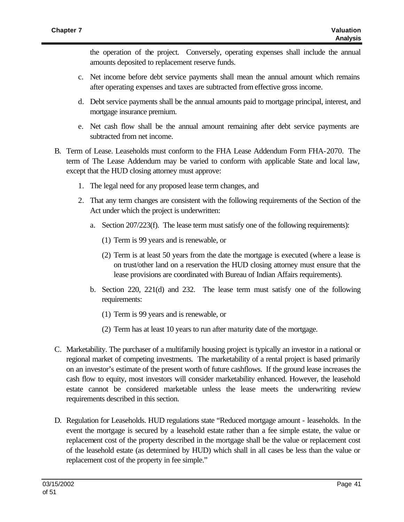the operation of the project. Conversely, operating expenses shall include the annual amounts deposited to replacement reserve funds.

- c. Net income before debt service payments shall mean the annual amount which remains after operating expenses and taxes are subtracted from effective gross income.
- d. Debt service payments shall be the annual amounts paid to mortgage principal, interest, and mortgage insurance premium.
- e. Net cash flow shall be the annual amount remaining after debt service payments are subtracted from net income.
- B. Term of Lease. Leaseholds must conform to the FHA Lease Addendum Form FHA-2070. The term of The Lease Addendum may be varied to conform with applicable State and local law, except that the HUD closing attorney must approve:
	- 1. The legal need for any proposed lease term changes, and
	- 2. That any term changes are consistent with the following requirements of the Section of the Act under which the project is underwritten:
		- a. Section 207/223(f). The lease term must satisfy one of the following requirements):
			- (1) Term is 99 years and is renewable, or
			- (2) Term is at least 50 years from the date the mortgage is executed (where a lease is on trust/other land on a reservation the HUD closing attorney must ensure that the lease provisions are coordinated with Bureau of Indian Affairs requirements).
		- b. Section 220, 221(d) and 232. The lease term must satisfy one of the following requirements:
			- (1) Term is 99 years and is renewable, or
			- (2) Term has at least 10 years to run after maturity date of the mortgage.
- C. Marketability. The purchaser of a multifamily housing project is typically an investor in a national or regional market of competing investments. The marketability of a rental project is based primarily on an investor's estimate of the present worth of future cashflows. If the ground lease increases the cash flow to equity, most investors will consider marketability enhanced. However, the leasehold estate cannot be considered marketable unless the lease meets the underwriting review requirements described in this section.
- D. Regulation for Leaseholds. HUD regulations state "Reduced mortgage amount leaseholds. In the event the mortgage is secured by a leasehold estate rather than a fee simple estate, the value or replacement cost of the property described in the mortgage shall be the value or replacement cost of the leasehold estate (as determined by HUD) which shall in all cases be less than the value or replacement cost of the property in fee simple."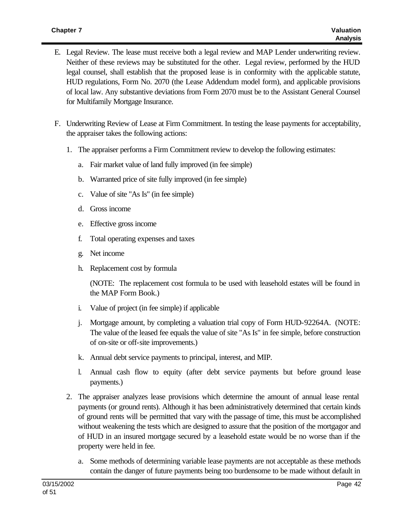- E. Legal Review. The lease must receive both a legal review and MAP Lender underwriting review. Neither of these reviews may be substituted for the other. Legal review, performed by the HUD legal counsel, shall establish that the proposed lease is in conformity with the applicable statute, HUD regulations, Form No. 2070 (the Lease Addendum model form), and applicable provisions of local law. Any substantive deviations from Form 2070 must be to the Assistant General Counsel for Multifamily Mortgage Insurance.
- F. Underwriting Review of Lease at Firm Commitment. In testing the lease payments for acceptability, the appraiser takes the following actions:
	- 1. The appraiser performs a Firm Commitment review to develop the following estimates:
		- a. Fair market value of land fully improved (in fee simple)
		- b. Warranted price of site fully improved (in fee simple)
		- c. Value of site "As Is" (in fee simple)
		- d. Gross income
		- e. Effective gross income
		- f. Total operating expenses and taxes
		- g. Net income
		- h. Replacement cost by formula

(NOTE: The replacement cost formula to be used with leasehold estates will be found in the MAP Form Book.)

- i. Value of project (in fee simple) if applicable
- j. Mortgage amount, by completing a valuation trial copy of Form HUD-92264A. (NOTE: The value of the leased fee equals the value of site "As Is" in fee simple, before construction of on-site or off-site improvements.)
- k. Annual debt service payments to principal, interest, and MIP.
- l. Annual cash flow to equity (after debt service payments but before ground lease payments.)
- 2. The appraiser analyzes lease provisions which determine the amount of annual lease rental payments (or ground rents). Although it has been administratively determined that certain kinds of ground rents will be permitted that vary with the passage of time, this must be accomplished without weakening the tests which are designed to assure that the position of the mortgagor and of HUD in an insured mortgage secured by a leasehold estate would be no worse than if the property were held in fee.
	- a. Some methods of determining variable lease payments are not acceptable as these methods contain the danger of future payments being too burdensome to be made without default in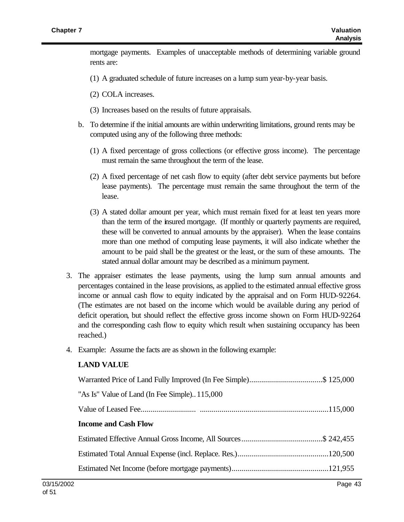mortgage payments. Examples of unacceptable methods of determining variable ground rents are:

- (1) A graduated schedule of future increases on a lump sum year-by-year basis.
- (2) COLA increases.
- (3) Increases based on the results of future appraisals.
- b. To determine if the initial amounts are within underwriting limitations, ground rents may be computed using any of the following three methods:
	- (1) A fixed percentage of gross collections (or effective gross income). The percentage must remain the same throughout the term of the lease.
	- (2) A fixed percentage of net cash flow to equity (after debt service payments but before lease payments). The percentage must remain the same throughout the term of the lease.
	- (3) A stated dollar amount per year, which must remain fixed for at least ten years more than the term of the insured mortgage. (If monthly or quarterly payments are required, these will be converted to annual amounts by the appraiser). When the lease contains more than one method of computing lease payments, it will also indicate whether the amount to be paid shall be the greatest or the least, or the sum of these amounts. The stated annual dollar amount may be described as a minimum payment.
- 3. The appraiser estimates the lease payments, using the lump sum annual amounts and percentages contained in the lease provisions, as applied to the estimated annual effective gross income or annual cash flow to equity indicated by the appraisal and on Form HUD-92264. (The estimates are not based on the income which would be available during any period of deficit operation, but should reflect the effective gross income shown on Form HUD-92264 and the corresponding cash flow to equity which result when sustaining occupancy has been reached.)
- 4. Example: Assume the facts are as shown in the following example:

#### **LAND VALUE**

| Warranted Price of Land Fully Improved (In Fee Simple)\$ 125,000 |  |
|------------------------------------------------------------------|--|
| "As Is" Value of Land (In Fee Simple)115,000                     |  |
|                                                                  |  |
| <b>Income and Cash Flow</b>                                      |  |
|                                                                  |  |
|                                                                  |  |
|                                                                  |  |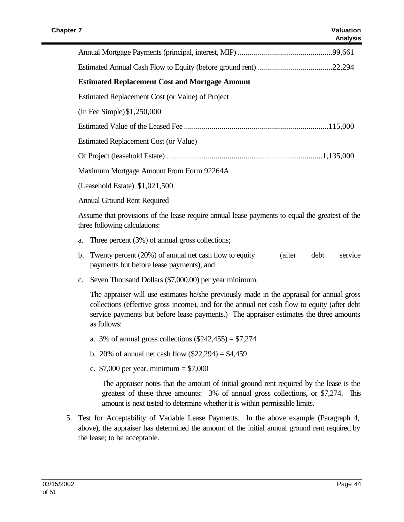| <b>Estimated Replacement Cost and Mortgage Amount</b>                                          |  |  |  |  |
|------------------------------------------------------------------------------------------------|--|--|--|--|
| Estimated Replacement Cost (or Value) of Project                                               |  |  |  |  |
| (In Fee Simple) $$1,250,000$                                                                   |  |  |  |  |
|                                                                                                |  |  |  |  |
| Estimated Replacement Cost (or Value)                                                          |  |  |  |  |
|                                                                                                |  |  |  |  |
| Maximum Mortgage Amount From Form 92264A                                                       |  |  |  |  |
| (Leasehold Estate) $$1,021,500$                                                                |  |  |  |  |
| Annual Ground Rent Required                                                                    |  |  |  |  |
| Assume that provisions of the lease require annual lease payments to equal the greatest of the |  |  |  |  |

a. Three percent (3%) of annual gross collections;

three following calculations:

- b. Twenty percent (20%) of annual net cash flow to equity (after debt service payments but before lease payments); and
- c. Seven Thousand Dollars (\$7,000.00) per year minimum.

The appraiser will use estimates he/she previously made in the appraisal for annual gross collections (effective gross income), and for the annual net cash flow to equity (after debt service payments but before lease payments.) The appraiser estimates the three amounts as follows:

- a. 3% of annual gross collections  $(\$242,455) = \$7,274$
- b. 20% of annual net cash flow  $(\$22,294) = \$4,459$
- c.  $$7,000$  per year, minimum = \$7,000

The appraiser notes that the amount of initial ground rent required by the lease is the greatest of these three amounts: 3% of annual gross collections, or \$7,274. This amount is next tested to determine whether it is within permissible limits.

5. Test for Acceptability of Variable Lease Payments. In the above example (Paragraph 4, above), the appraiser has determined the amount of the initial annual ground rent required by the lease; to be acceptable.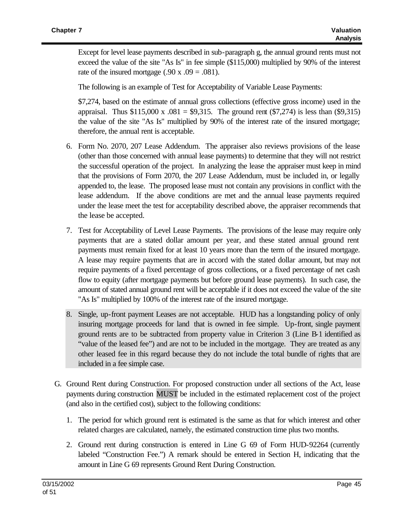Except for level lease payments described in sub-paragraph g, the annual ground rents must not exceed the value of the site "As Is" in fee simple (\$115,000) multiplied by 90% of the interest rate of the insured mortgage  $(.90 \times .09 = .081)$ .

The following is an example of Test for Acceptability of Variable Lease Payments:

\$7,274, based on the estimate of annual gross collections (effective gross income) used in the appraisal. Thus  $$115,000 \text{ x} \cdot .081 = $9,315$ . The ground rent  $$7,274$  is less than  $$9,315$ the value of the site "As Is" multiplied by 90% of the interest rate of the insured mortgage; therefore, the annual rent is acceptable.

- 6. Form No. 2070, 207 Lease Addendum. The appraiser also reviews provisions of the lease (other than those concerned with annual lease payments) to determine that they will not restrict the successful operation of the project. In analyzing the lease the appraiser must keep in mind that the provisions of Form 2070, the 207 Lease Addendum, must be included in, or legally appended to, the lease. The proposed lease must not contain any provisions in conflict with the lease addendum. If the above conditions are met and the annual lease payments required under the lease meet the test for acceptability described above, the appraiser recommends that the lease be accepted.
- 7. Test for Acceptability of Level Lease Payments. The provisions of the lease may require only payments that are a stated dollar amount per year, and these stated annual ground rent payments must remain fixed for at least 10 years more than the term of the insured mortgage. A lease may require payments that are in accord with the stated dollar amount, but may not require payments of a fixed percentage of gross collections, or a fixed percentage of net cash flow to equity (after mortgage payments but before ground lease payments). In such case, the amount of stated annual ground rent will be acceptable if it does not exceed the value of the site "As Is" multiplied by 100% of the interest rate of the insured mortgage.
- 8. Single, up-front payment Leases are not acceptable. HUD has a longstanding policy of only insuring mortgage proceeds for land that is owned in fee simple. Up-front, single payment ground rents are to be subtracted from property value in Criterion 3 (Line B-1 identified as "value of the leased fee") and are not to be included in the mortgage. They are treated as any other leased fee in this regard because they do not include the total bundle of rights that are included in a fee simple case.
- G. Ground Rent during Construction. For proposed construction under all sections of the Act, lease payments during construction MUST be included in the estimated replacement cost of the project (and also in the certified cost), subject to the following conditions:
	- 1. The period for which ground rent is estimated is the same as that for which interest and other related charges are calculated, namely, the estimated construction time plus two months.
	- 2. Ground rent during construction is entered in Line G 69 of Form HUD-92264 (currently labeled "Construction Fee.") A remark should be entered in Section H, indicating that the amount in Line G 69 represents Ground Rent During Construction.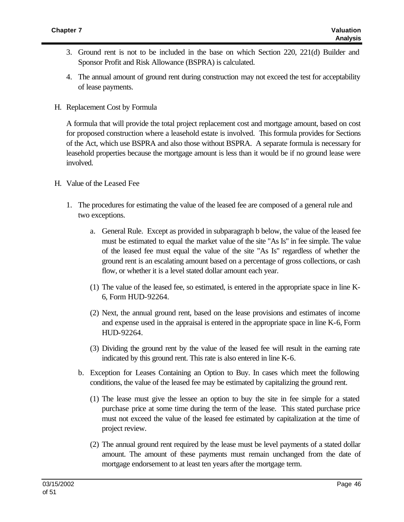- 3. Ground rent is not to be included in the base on which Section 220, 221(d) Builder and Sponsor Profit and Risk Allowance (BSPRA) is calculated.
- 4. The annual amount of ground rent during construction may not exceed the test for acceptability of lease payments.
- H. Replacement Cost by Formula

A formula that will provide the total project replacement cost and mortgage amount, based on cost for proposed construction where a leasehold estate is involved. This formula provides for Sections of the Act, which use BSPRA and also those without BSPRA. A separate formula is necessary for leasehold properties because the mortgage amount is less than it would be if no ground lease were involved.

- H. Value of the Leased Fee
	- 1. The procedures for estimating the value of the leased fee are composed of a general rule and two exceptions.
		- a. General Rule. Except as provided in subparagraph b below, the value of the leased fee must be estimated to equal the market value of the site "As Is" in fee simple. The value of the leased fee must equal the value of the site "As Is" regardless of whether the ground rent is an escalating amount based on a percentage of gross collections, or cash flow, or whether it is a level stated dollar amount each year.
		- (1) The value of the leased fee, so estimated, is entered in the appropriate space in line K-6, Form HUD-92264.
		- (2) Next, the annual ground rent, based on the lease provisions and estimates of income and expense used in the appraisal is entered in the appropriate space in line K-6, Form HUD-92264.
		- (3) Dividing the ground rent by the value of the leased fee will result in the earning rate indicated by this ground rent. This rate is also entered in line K-6.
		- b. Exception for Leases Containing an Option to Buy. In cases which meet the following conditions, the value of the leased fee may be estimated by capitalizing the ground rent.
			- (1) The lease must give the lessee an option to buy the site in fee simple for a stated purchase price at some time during the term of the lease. This stated purchase price must not exceed the value of the leased fee estimated by capitalization at the time of project review.
			- (2) The annual ground rent required by the lease must be level payments of a stated dollar amount. The amount of these payments must remain unchanged from the date of mortgage endorsement to at least ten years after the mortgage term.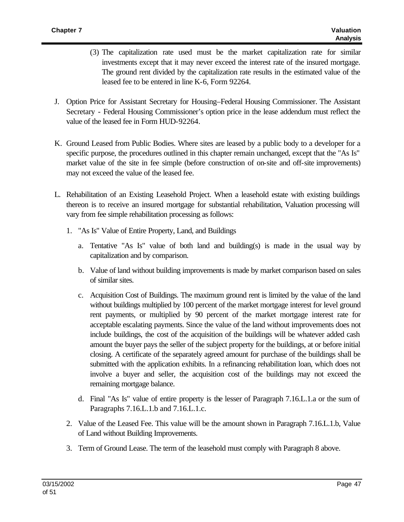- (3) The capitalization rate used must be the market capitalization rate for similar investments except that it may never exceed the interest rate of the insured mortgage. The ground rent divided by the capitalization rate results in the estimated value of the leased fee to be entered in line K-6, Form 92264.
- J. Option Price for Assistant Secretary for Housing–Federal Housing Commissioner. The Assistant Secretary - Federal Housing Commissioner's option price in the lease addendum must reflect the value of the leased fee in Form HUD-92264.
- K. Ground Leased from Public Bodies. Where sites are leased by a public body to a developer for a specific purpose, the procedures outlined in this chapter remain unchanged, except that the "As Is" market value of the site in fee simple (before construction of on-site and off-site improvements) may not exceed the value of the leased fee.
- L. Rehabilitation of an Existing Leasehold Project. When a leasehold estate with existing buildings thereon is to receive an insured mortgage for substantial rehabilitation, Valuation processing will vary from fee simple rehabilitation processing as follows:
	- 1. "As Is" Value of Entire Property, Land, and Buildings
		- a. Tentative "As Is" value of both land and building(s) is made in the usual way by capitalization and by comparison.
		- b. Value of land without building improvements is made by market comparison based on sales of similar sites.
		- c. Acquisition Cost of Buildings. The maximum ground rent is limited by the value of the land without buildings multiplied by 100 percent of the market mortgage interest for level ground rent payments, or multiplied by 90 percent of the market mortgage interest rate for acceptable escalating payments. Since the value of the land without improvements does not include buildings, the cost of the acquisition of the buildings will be whatever added cash amount the buyer pays the seller of the subject property for the buildings, at or before initial closing. A certificate of the separately agreed amount for purchase of the buildings shall be submitted with the application exhibits. In a refinancing rehabilitation loan, which does not involve a buyer and seller, the acquisition cost of the buildings may not exceed the remaining mortgage balance.
		- d. Final "As Is" value of entire property is the lesser of Paragraph 7.16.L.1.a or the sum of Paragraphs 7.16.L.1.b and 7.16.L.1.c.
	- 2. Value of the Leased Fee. This value will be the amount shown in Paragraph 7.16.L.1.b, Value of Land without Building Improvements.
	- 3. Term of Ground Lease. The term of the leasehold must comply with Paragraph 8 above.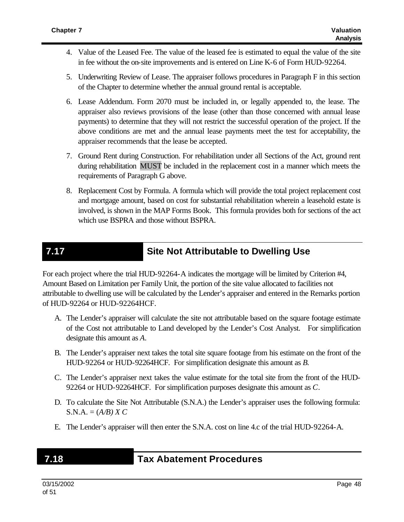- 4. Value of the Leased Fee. The value of the leased fee is estimated to equal the value of the site in fee without the on-site improvements and is entered on Line K-6 of Form HUD-92264.
- 5. Underwriting Review of Lease. The appraiser follows procedures in Paragraph F in this section of the Chapter to determine whether the annual ground rental is acceptable.
- 6. Lease Addendum. Form 2070 must be included in, or legally appended to, the lease. The appraiser also reviews provisions of the lease (other than those concerned with annual lease payments) to determine that they will not restrict the successful operation of the project. If the above conditions are met and the annual lease payments meet the test for acceptability, the appraiser recommends that the lease be accepted.
- 7. Ground Rent during Construction. For rehabilitation under all Sections of the Act, ground rent during rehabilitation MUST be included in the replacement cost in a manner which meets the requirements of Paragraph G above.
- 8. Replacement Cost by Formula. A formula which will provide the total project replacement cost and mortgage amount, based on cost for substantial rehabilitation wherein a leasehold estate is involved, is shown in the MAP Forms Book. This formula provides both for sections of the act which use BSPRA and those without BSPRA.

## **7.17 Site Not Attributable to Dwelling Use**

For each project where the trial HUD-92264-A indicates the mortgage will be limited by Criterion #4, Amount Based on Limitation per Family Unit, the portion of the site value allocated to facilities not attributable to dwelling use will be calculated by the Lender's appraiser and entered in the Remarks portion of HUD-92264 or HUD-92264HCF.

- A. The Lender's appraiser will calculate the site not attributable based on the square footage estimate of the Cost not attributable to Land developed by the Lender's Cost Analyst. For simplification designate this amount as *A.*
- B. The Lender's appraiser next takes the total site square footage from his estimate on the front of the HUD-92264 or HUD-92264HCF. For simplification designate this amount as *B*.
- C. The Lender's appraiser next takes the value estimate for the total site from the front of the HUD-92264 or HUD-92264HCF. For simplification purposes designate this amount as *C*.
- D. To calculate the Site Not Attributable (S.N.A.) the Lender's appraiser uses the following formula:  $S.N.A. = (A/B) X C$
- E. The Lender's appraiser will then enter the S.N.A. cost on line 4.c of the trial HUD-92264-A.

## **7 7.18187.18 Tax Abatement Procedures**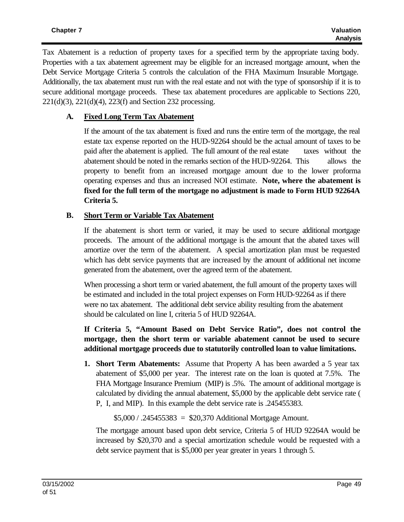Tax Abatement is a reduction of property taxes for a specified term by the appropriate taxing body. Properties with a tax abatement agreement may be eligible for an increased mortgage amount, when the Debt Service Mortgage Criteria 5 controls the calculation of the FHA Maximum Insurable Mortgage. Additionally, the tax abatement must run with the real estate and not with the type of sponsorship if it is to secure additional mortgage proceeds. These tax abatement procedures are applicable to Sections 220, 221(d)(3), 221(d)(4), 223(f) and Section 232 processing.

### **A. Fixed Long Term Tax Abatement**

If the amount of the tax abatement is fixed and runs the entire term of the mortgage, the real estate tax expense reported on the HUD-92264 should be the actual amount of taxes to be paid after the abatement is applied. The full amount of the real estate taxes without the abatement should be noted in the remarks section of the HUD-92264. This allows the property to benefit from an increased mortgage amount due to the lower proforma operating expenses and thus an increased NOI estimate. **Note, where the abatement is fixed for the full term of the mortgage no adjustment is made to Form HUD 92264A Criteria 5.**

### **B. Short Term or Variable Tax Abatement**

If the abatement is short term or varied, it may be used to secure additional mortgage proceeds. The amount of the additional mortgage is the amount that the abated taxes will amortize over the term of the abatement. A special amortization plan must be requested which has debt service payments that are increased by the amount of additional net income generated from the abatement, over the agreed term of the abatement.

When processing a short term or varied abatement, the full amount of the property taxes will be estimated and included in the total project expenses on Form HUD-92264 as if there were no tax abatement. The additional debt service ability resulting from the abatement should be calculated on line I, criteria 5 of HUD 92264A.

**If Criteria 5, "Amount Based on Debt Service Ratio", does not control the mortgage, then the short term or variable abatement cannot be used to secure additional mortgage proceeds due to statutorily controlled loan to value limitations.**

**1. Short Term Abatements:** Assume that Property A has been awarded a 5 year tax abatement of \$5,000 per year. The interest rate on the loan is quoted at 7.5%. The FHA Mortgage Insurance Premium (MIP) is .5%. The amount of additional mortgage is calculated by dividing the annual abatement, \$5,000 by the applicable debt service rate ( P, I, and MIP). In this example the debt service rate is .245455383.

\$5,000 / .245455383 = \$20,370 Additional Mortgage Amount.

The mortgage amount based upon debt service, Criteria 5 of HUD 92264A would be increased by \$20,370 and a special amortization schedule would be requested with a debt service payment that is \$5,000 per year greater in years 1 through 5.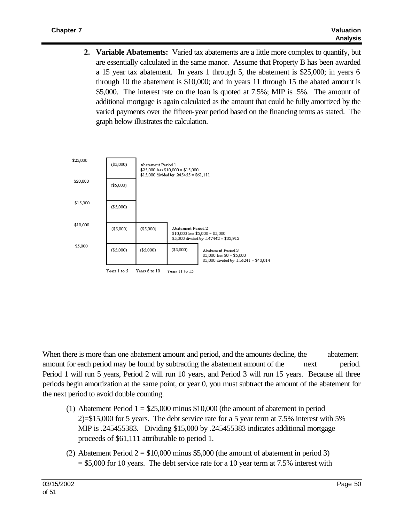**2. Variable Abatements:** Varied tax abatements are a little more complex to quantify, but are essentially calculated in the same manor. Assume that Property B has been awarded a 15 year tax abatement. In years 1 through 5, the abatement is \$25,000; in years 6 through 10 the abatement is \$10,000; and in years 11 through 15 the abated amount is \$5,000. The interest rate on the loan is quoted at 7.5%; MIP is .5%. The amount of additional mortgage is again calculated as the amount that could be fully amortized by the varied payments over the fifteen-year period based on the financing terms as stated. The graph below illustrates the calculation.



When there is more than one abatement amount and period, and the amounts decline, the abatement amount for each period may be found by subtracting the abatement amount of the next period. Period 1 will run 5 years, Period 2 will run 10 years, and Period 3 will run 15 years. Because all three periods begin amortization at the same point, or year 0, you must subtract the amount of the abatement for the next period to avoid double counting.

- (1) Abatement Period  $1 = $25,000$  minus \$10,000 (the amount of abatement in period 2)=\$15,000 for 5 years. The debt service rate for a 5 year term at 7.5% interest with 5% MIP is .245455383. Dividing \$15,000 by .245455383 indicates additional mortgage proceeds of \$61,111 attributable to period 1.
- (2) Abatement Period  $2 = $10,000$  minus \$5,000 (the amount of abatement in period 3)  $= $5,000$  for 10 years. The debt service rate for a 10 year term at 7.5% interest with